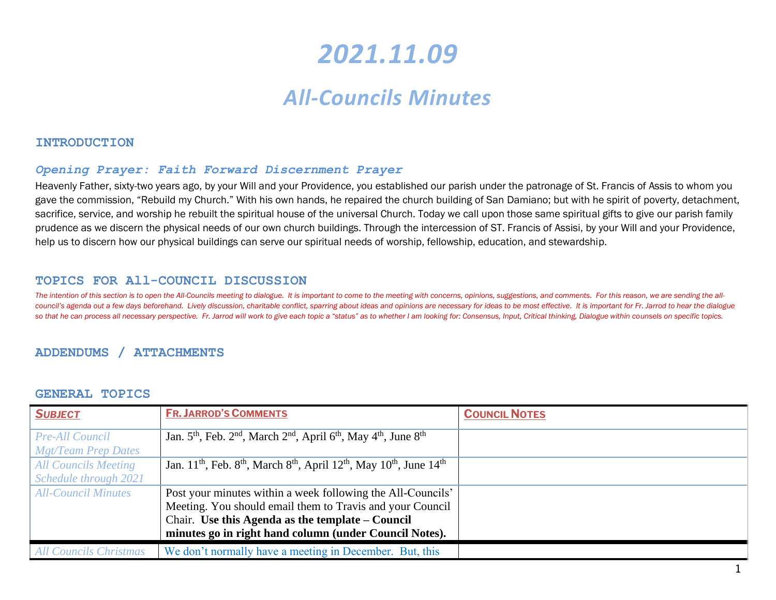# *2021.11.09*

## *All-Councils Minutes*

#### **INTRODUCTION**

#### *Opening Prayer: Faith Forward Discernment Prayer*

Heavenly Father, sixty-two years ago, by your Will and your Providence, you established our parish under the patronage of St. Francis of Assis to whom you gave the commission, "Rebuild my Church." With his own hands, he repaired the church building of San Damiano; but with he spirit of poverty, detachment, sacrifice, service, and worship he rebuilt the spiritual house of the universal Church. Today we call upon those same spiritual gifts to give our parish family prudence as we discern the physical needs of our own church buildings. Through the intercession of ST. Francis of Assisi, by your Will and your Providence, help us to discern how our physical buildings can serve our spiritual needs of worship, fellowship, education, and stewardship.

#### **TOPICS FOR All-COUNCIL DISCUSSION**

The intention of this section is to open the All-Councils meeting to dialogue. It is important to come to the meeting with concerns, opinions, suggestions, and comments. For this reason, we are sending the allcouncil's agenda out a few days beforehand. Lively discussion, charitable conflict, sparring about ideas and opinions are necessary for ideas to be most effective. It is important for Fr. Jarrod to hear the dialogue so that he can process all necessary perspective. Fr. Jarrod will work to give each topic a "status" as to whether I am looking for: Consensus, Input, Critical thinking, Dialogue within counsels on specific topics.

#### **ADDENDUMS / ATTACHMENTS**

| <b>SUBJECT</b>                | <b>FR. JARROD'S COMMENTS</b>                                                                                                                 | <b>COUNCIL NOTES</b> |
|-------------------------------|----------------------------------------------------------------------------------------------------------------------------------------------|----------------------|
|                               |                                                                                                                                              |                      |
| <b>Pre-All Council</b>        | Jan. $5th$ , Feb. $2nd$ , March $2nd$ , April $6th$ , May $4th$ , June $8th$                                                                 |                      |
| <b>Mgt/Team Prep Dates</b>    |                                                                                                                                              |                      |
| <b>All Councils Meeting</b>   | Jan. 11 <sup>th</sup> , Feb. 8 <sup>th</sup> , March 8 <sup>th</sup> , April 12 <sup>th</sup> , May 10 <sup>th</sup> , June 14 <sup>th</sup> |                      |
| Schedule through 2021         |                                                                                                                                              |                      |
| <b>All-Council Minutes</b>    | Post your minutes within a week following the All-Councils'                                                                                  |                      |
|                               | Meeting. You should email them to Travis and your Council                                                                                    |                      |
|                               | Chair. Use this Agenda as the template – Council                                                                                             |                      |
|                               | minutes go in right hand column (under Council Notes).                                                                                       |                      |
| <b>All Councils Christmas</b> | We don't normally have a meeting in December. But, this                                                                                      |                      |

#### **GENERAL TOPICS**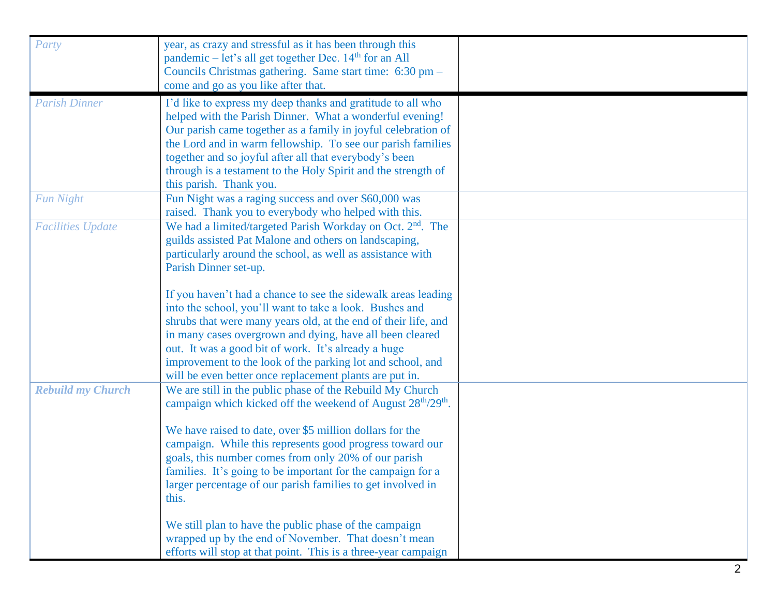| Party                    | year, as crazy and stressful as it has been through this<br>pandemic – let's all get together Dec. $14th$ for an All<br>Councils Christmas gathering. Same start time: 6:30 pm -<br>come and go as you like after that.                                                                                                                                                                                                                                                  |  |
|--------------------------|--------------------------------------------------------------------------------------------------------------------------------------------------------------------------------------------------------------------------------------------------------------------------------------------------------------------------------------------------------------------------------------------------------------------------------------------------------------------------|--|
| <b>Parish Dinner</b>     | I'd like to express my deep thanks and gratitude to all who<br>helped with the Parish Dinner. What a wonderful evening!<br>Our parish came together as a family in joyful celebration of<br>the Lord and in warm fellowship. To see our parish families<br>together and so joyful after all that everybody's been<br>through is a testament to the Holy Spirit and the strength of<br>this parish. Thank you.                                                            |  |
| <b>Fun Night</b>         | Fun Night was a raging success and over \$60,000 was<br>raised. Thank you to everybody who helped with this.                                                                                                                                                                                                                                                                                                                                                             |  |
| <b>Facilities Update</b> | We had a limited/targeted Parish Workday on Oct. 2 <sup>nd</sup> . The<br>guilds assisted Pat Malone and others on landscaping,<br>particularly around the school, as well as assistance with<br>Parish Dinner set-up.                                                                                                                                                                                                                                                   |  |
|                          | If you haven't had a chance to see the sidewalk areas leading<br>into the school, you'll want to take a look. Bushes and<br>shrubs that were many years old, at the end of their life, and<br>in many cases overgrown and dying, have all been cleared<br>out. It was a good bit of work. It's already a huge<br>improvement to the look of the parking lot and school, and<br>will be even better once replacement plants are put in.                                   |  |
| <b>Rebuild my Church</b> | We are still in the public phase of the Rebuild My Church<br>campaign which kicked off the weekend of August 28 <sup>th</sup> /29 <sup>th</sup> .<br>We have raised to date, over \$5 million dollars for the<br>campaign. While this represents good progress toward our<br>goals, this number comes from only 20% of our parish<br>families. It's going to be important for the campaign for a<br>larger percentage of our parish families to get involved in<br>this. |  |
|                          | We still plan to have the public phase of the campaign<br>wrapped up by the end of November. That doesn't mean<br>efforts will stop at that point. This is a three-year campaign                                                                                                                                                                                                                                                                                         |  |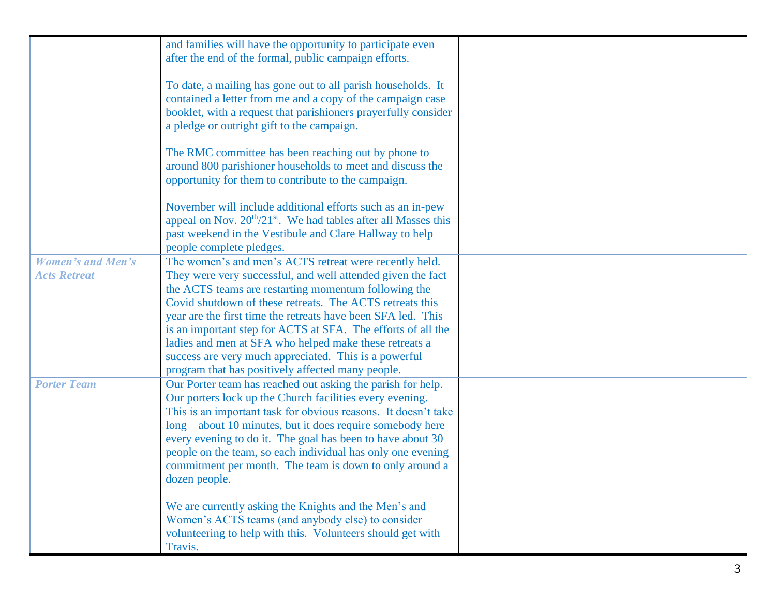|                                                 | and families will have the opportunity to participate even<br>after the end of the formal, public campaign efforts.                                                                                                                                                                                                                                                                                                                                              |  |
|-------------------------------------------------|------------------------------------------------------------------------------------------------------------------------------------------------------------------------------------------------------------------------------------------------------------------------------------------------------------------------------------------------------------------------------------------------------------------------------------------------------------------|--|
|                                                 | To date, a mailing has gone out to all parish households. It<br>contained a letter from me and a copy of the campaign case<br>booklet, with a request that parishioners prayerfully consider<br>a pledge or outright gift to the campaign.                                                                                                                                                                                                                       |  |
|                                                 | The RMC committee has been reaching out by phone to<br>around 800 parishioner households to meet and discuss the<br>opportunity for them to contribute to the campaign.                                                                                                                                                                                                                                                                                          |  |
|                                                 | November will include additional efforts such as an in-pew<br>appeal on Nov. 20 <sup>th</sup> /21 <sup>st</sup> . We had tables after all Masses this<br>past weekend in the Vestibule and Clare Hallway to help<br>people complete pledges.                                                                                                                                                                                                                     |  |
| <b>Women's and Men's</b><br><b>Acts Retreat</b> | The women's and men's ACTS retreat were recently held.<br>They were very successful, and well attended given the fact<br>the ACTS teams are restarting momentum following the<br>Covid shutdown of these retreats. The ACTS retreats this                                                                                                                                                                                                                        |  |
|                                                 | year are the first time the retreats have been SFA led. This<br>is an important step for ACTS at SFA. The efforts of all the<br>ladies and men at SFA who helped make these retreats a<br>success are very much appreciated. This is a powerful<br>program that has positively affected many people.                                                                                                                                                             |  |
| <b>Porter Team</b>                              | Our Porter team has reached out asking the parish for help.<br>Our porters lock up the Church facilities every evening.<br>This is an important task for obvious reasons. It doesn't take<br>long – about 10 minutes, but it does require somebody here<br>every evening to do it. The goal has been to have about 30<br>people on the team, so each individual has only one evening<br>commitment per month. The team is down to only around a<br>dozen people. |  |
|                                                 | We are currently asking the Knights and the Men's and<br>Women's ACTS teams (and anybody else) to consider<br>volunteering to help with this. Volunteers should get with<br>Travis.                                                                                                                                                                                                                                                                              |  |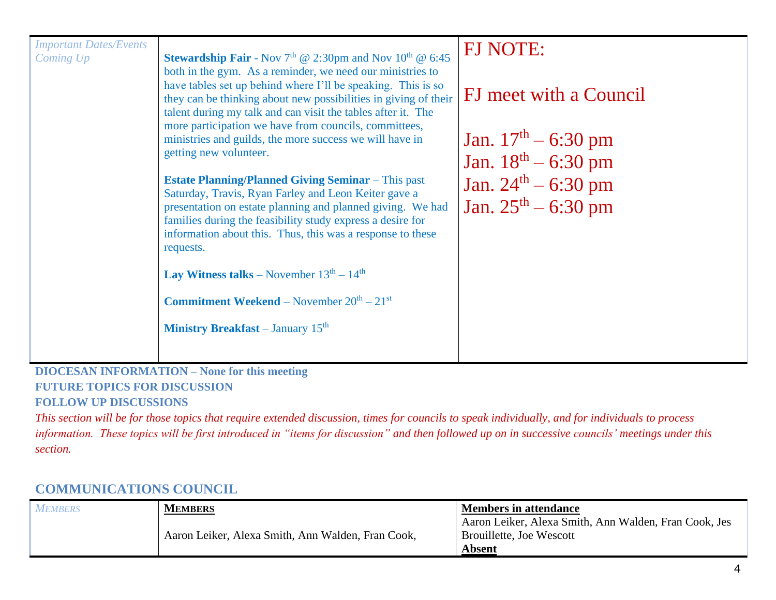| <b>Important Dates/Events</b><br>Coming Up | <b>Stewardship Fair</b> - Nov 7 <sup>th</sup> @ 2:30pm and Nov $10^{th}$ @ 6:45<br>both in the gym. As a reminder, we need our ministries to<br>have tables set up behind where I'll be speaking. This is so<br>they can be thinking about new possibilities in giving of their<br>talent during my talk and can visit the tables after it. The<br>more participation we have from councils, committees,<br>ministries and guilds, the more success we will have in<br>getting new volunteer.<br><b>Estate Planning/Planned Giving Seminar</b> – This past<br>Saturday, Travis, Ryan Farley and Leon Keiter gave a<br>presentation on estate planning and planned giving. We had<br>families during the feasibility study express a desire for<br>information about this. Thus, this was a response to these<br>requests.<br><b>Lay Witness talks</b> – November $13th - 14th$<br><b>Commitment Weekend</b> – November $20^{th} - 21^{st}$<br><b>Ministry Breakfast</b> – January $15th$ | <b>FJ NOTE:</b><br>FJ meet with a Council<br>Jan. $17th - 6:30$ pm<br>Jan. $18^{th} - 6:30$ pm<br>Jan. $24^{th} - 6:30$ pm<br>Jan. $25^{th} - 6:30$ pm |
|--------------------------------------------|------------------------------------------------------------------------------------------------------------------------------------------------------------------------------------------------------------------------------------------------------------------------------------------------------------------------------------------------------------------------------------------------------------------------------------------------------------------------------------------------------------------------------------------------------------------------------------------------------------------------------------------------------------------------------------------------------------------------------------------------------------------------------------------------------------------------------------------------------------------------------------------------------------------------------------------------------------------------------------------|--------------------------------------------------------------------------------------------------------------------------------------------------------|
|                                            |                                                                                                                                                                                                                                                                                                                                                                                                                                                                                                                                                                                                                                                                                                                                                                                                                                                                                                                                                                                          |                                                                                                                                                        |

#### **DIOCESAN INFORMATION – None for this meeting FUTURE TOPICS FOR DISCUSSION FOLLOW UP DISCUSSIONS**

*This section will be for those topics that require extended discussion, times for councils to speak individually, and for individuals to process information. These topics will be first introduced in "items for discussion" and then followed up on in successive councils' meetings under this section.*

### **COMMUNICATIONS COUNCIL**

| <i>MEMBERS</i> | <b>MEMBERS</b>                                    | <b>Members in attendance</b>                          |
|----------------|---------------------------------------------------|-------------------------------------------------------|
|                |                                                   | Aaron Leiker, Alexa Smith, Ann Walden, Fran Cook, Jes |
|                | Aaron Leiker, Alexa Smith, Ann Walden, Fran Cook, | Brouillette, Joe Wescott                              |
|                |                                                   | Absent                                                |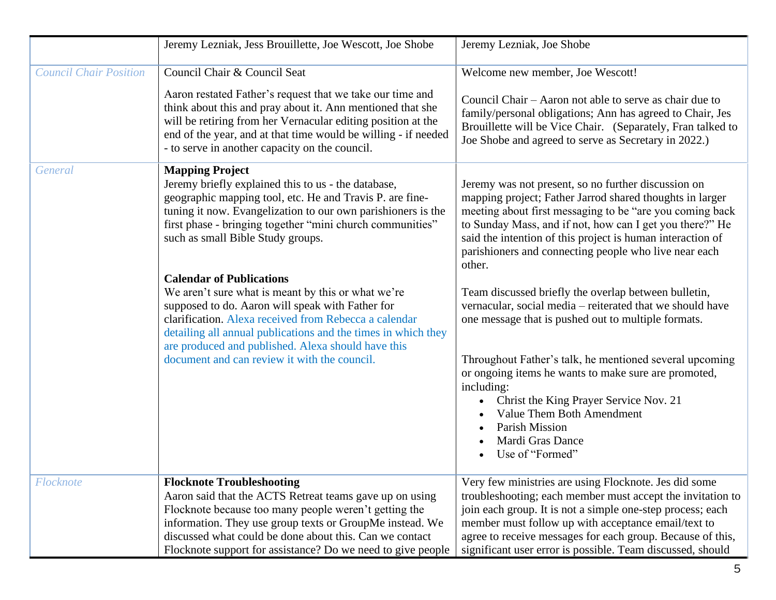|                               | Jeremy Lezniak, Jess Brouillette, Joe Wescott, Joe Shobe                                                                                                                                                                                                                                                                                       | Jeremy Lezniak, Joe Shobe                                                                                                                                                                                                                                                                                                                                                |
|-------------------------------|------------------------------------------------------------------------------------------------------------------------------------------------------------------------------------------------------------------------------------------------------------------------------------------------------------------------------------------------|--------------------------------------------------------------------------------------------------------------------------------------------------------------------------------------------------------------------------------------------------------------------------------------------------------------------------------------------------------------------------|
| <b>Council Chair Position</b> | Council Chair & Council Seat                                                                                                                                                                                                                                                                                                                   | Welcome new member, Joe Wescott!                                                                                                                                                                                                                                                                                                                                         |
|                               | Aaron restated Father's request that we take our time and<br>think about this and pray about it. Ann mentioned that she<br>will be retiring from her Vernacular editing position at the<br>end of the year, and at that time would be willing - if needed<br>- to serve in another capacity on the council.                                    | Council Chair – Aaron not able to serve as chair due to<br>family/personal obligations; Ann has agreed to Chair, Jes<br>Brouillette will be Vice Chair. (Separately, Fran talked to<br>Joe Shobe and agreed to serve as Secretary in 2022.)                                                                                                                              |
| General                       | <b>Mapping Project</b><br>Jeremy briefly explained this to us - the database,<br>geographic mapping tool, etc. He and Travis P. are fine-<br>tuning it now. Evangelization to our own parishioners is the<br>first phase - bringing together "mini church communities"<br>such as small Bible Study groups.<br><b>Calendar of Publications</b> | Jeremy was not present, so no further discussion on<br>mapping project; Father Jarrod shared thoughts in larger<br>meeting about first messaging to be "are you coming back<br>to Sunday Mass, and if not, how can I get you there?" He<br>said the intention of this project is human interaction of<br>parishioners and connecting people who live near each<br>other. |
|                               | We aren't sure what is meant by this or what we're<br>supposed to do. Aaron will speak with Father for<br>clarification. Alexa received from Rebecca a calendar<br>detailing all annual publications and the times in which they<br>are produced and published. Alexa should have this                                                         | Team discussed briefly the overlap between bulletin,<br>vernacular, social media - reiterated that we should have<br>one message that is pushed out to multiple formats.                                                                                                                                                                                                 |
|                               | document and can review it with the council.                                                                                                                                                                                                                                                                                                   | Throughout Father's talk, he mentioned several upcoming<br>or ongoing items he wants to make sure are promoted,<br>including:<br>Christ the King Prayer Service Nov. 21<br>Value Them Both Amendment<br>Parish Mission<br>Mardi Gras Dance<br>Use of "Formed"                                                                                                            |
| <b>Flocknote</b>              | <b>Flocknote Troubleshooting</b><br>Aaron said that the ACTS Retreat teams gave up on using<br>Flocknote because too many people weren't getting the<br>information. They use group texts or GroupMe instead. We<br>discussed what could be done about this. Can we contact<br>Flocknote support for assistance? Do we need to give people     | Very few ministries are using Flocknote. Jes did some<br>troubleshooting; each member must accept the invitation to<br>join each group. It is not a simple one-step process; each<br>member must follow up with acceptance email/text to<br>agree to receive messages for each group. Because of this,<br>significant user error is possible. Team discussed, should     |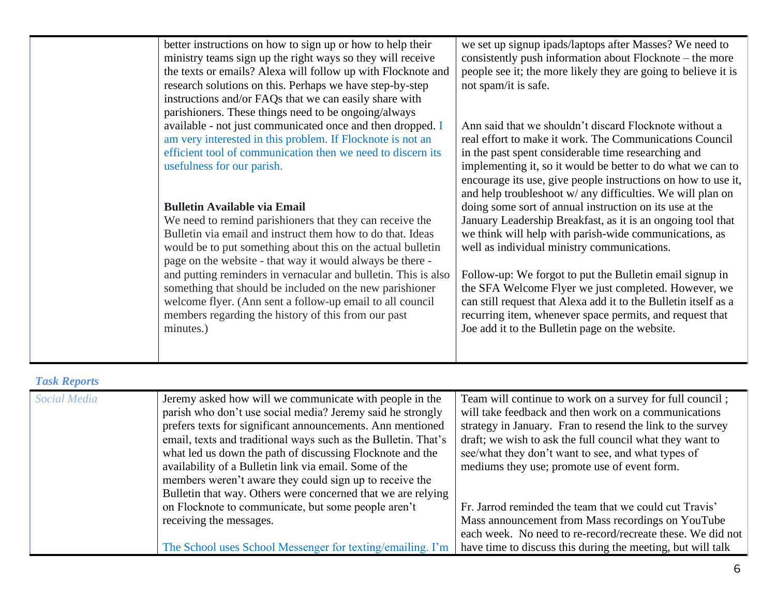| better instructions on how to sign up or how to help their<br>we set up signup ipads/laptops after Masses? We need to<br>ministry teams sign up the right ways so they will receive<br>consistently push information about Flocknote – the more<br>people see it; the more likely they are going to believe it is<br>the texts or emails? Alexa will follow up with Flocknote and<br>research solutions on this. Perhaps we have step-by-step<br>not spam/it is safe.<br>instructions and/or FAQs that we can easily share with<br>parishioners. These things need to be ongoing/always<br>available - not just communicated once and then dropped. I<br>Ann said that we shouldn't discard Flocknote without a<br>am very interested in this problem. If Flocknote is not an<br>real effort to make it work. The Communications Council<br>efficient tool of communication then we need to discern its<br>in the past spent considerable time researching and<br>implementing it, so it would be better to do what we can to<br>usefulness for our parish.<br>encourage its use, give people instructions on how to use it,<br>and help troubleshoot w/ any difficulties. We will plan on<br>doing some sort of annual instruction on its use at the<br><b>Bulletin Available via Email</b><br>We need to remind parishioners that they can receive the<br>January Leadership Breakfast, as it is an ongoing tool that<br>we think will help with parish-wide communications, as<br>Bulletin via email and instruct them how to do that. Ideas<br>well as individual ministry communications.<br>would be to put something about this on the actual bulletin<br>page on the website - that way it would always be there -<br>and putting reminders in vernacular and bulletin. This is also<br>Follow-up: We forgot to put the Bulletin email signup in<br>something that should be included on the new parishioner<br>the SFA Welcome Flyer we just completed. However, we<br>welcome flyer. (Ann sent a follow-up email to all council<br>can still request that Alexa add it to the Bulletin itself as a<br>members regarding the history of this from our past<br>recurring item, whenever space permits, and request that<br>Joe add it to the Bulletin page on the website.<br>minutes.) |  |  |
|-------------------------------------------------------------------------------------------------------------------------------------------------------------------------------------------------------------------------------------------------------------------------------------------------------------------------------------------------------------------------------------------------------------------------------------------------------------------------------------------------------------------------------------------------------------------------------------------------------------------------------------------------------------------------------------------------------------------------------------------------------------------------------------------------------------------------------------------------------------------------------------------------------------------------------------------------------------------------------------------------------------------------------------------------------------------------------------------------------------------------------------------------------------------------------------------------------------------------------------------------------------------------------------------------------------------------------------------------------------------------------------------------------------------------------------------------------------------------------------------------------------------------------------------------------------------------------------------------------------------------------------------------------------------------------------------------------------------------------------------------------------------------------------------------------------------------------------------------------------------------------------------------------------------------------------------------------------------------------------------------------------------------------------------------------------------------------------------------------------------------------------------------------------------------------------------------------------------------------------------------------------------------------------------------|--|--|
|                                                                                                                                                                                                                                                                                                                                                                                                                                                                                                                                                                                                                                                                                                                                                                                                                                                                                                                                                                                                                                                                                                                                                                                                                                                                                                                                                                                                                                                                                                                                                                                                                                                                                                                                                                                                                                                                                                                                                                                                                                                                                                                                                                                                                                                                                                 |  |  |
|                                                                                                                                                                                                                                                                                                                                                                                                                                                                                                                                                                                                                                                                                                                                                                                                                                                                                                                                                                                                                                                                                                                                                                                                                                                                                                                                                                                                                                                                                                                                                                                                                                                                                                                                                                                                                                                                                                                                                                                                                                                                                                                                                                                                                                                                                                 |  |  |

| <b>Task Reports</b> |
|---------------------|
|                     |

| <b>Social Media</b> | Jeremy asked how will we communicate with people in the        | Team will continue to work on a survey for full council;    |
|---------------------|----------------------------------------------------------------|-------------------------------------------------------------|
|                     | parish who don't use social media? Jeremy said he strongly     | will take feedback and then work on a communications        |
|                     | prefers texts for significant announcements. Ann mentioned     | strategy in January. Fran to resend the link to the survey  |
|                     | email, texts and traditional ways such as the Bulletin. That's | draft; we wish to ask the full council what they want to    |
|                     | what led us down the path of discussing Flocknote and the      | see/what they don't want to see, and what types of          |
|                     | availability of a Bulletin link via email. Some of the         | mediums they use; promote use of event form.                |
|                     | members weren't aware they could sign up to receive the        |                                                             |
|                     | Bulletin that way. Others were concerned that we are relying   |                                                             |
|                     | on Flocknote to communicate, but some people aren't            | Fr. Jarrod reminded the team that we could cut Travis'      |
|                     | receiving the messages.                                        | Mass announcement from Mass recordings on YouTube           |
|                     |                                                                | each week. No need to re-record/recreate these. We did not  |
|                     | The School uses School Messenger for texting/emailing. I'm     | have time to discuss this during the meeting, but will talk |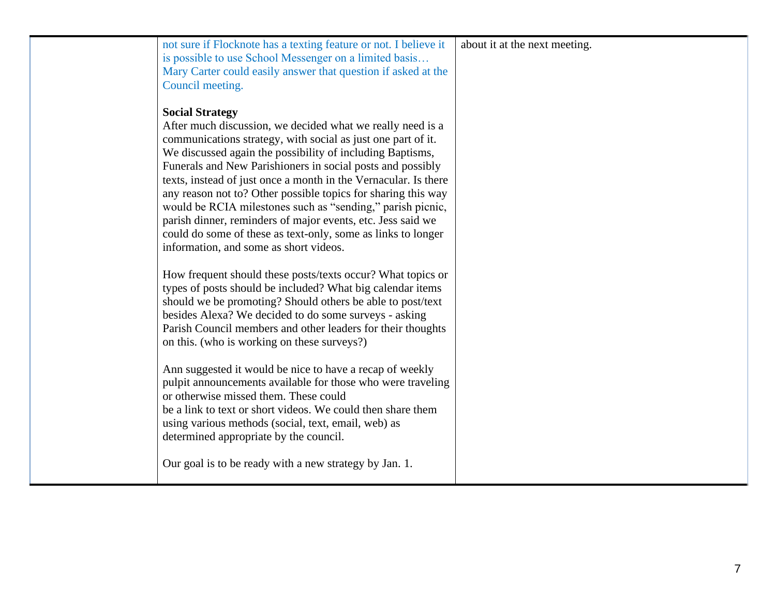| not sure if Flocknote has a texting feature or not. I believe it                                       | about it at the next meeting. |
|--------------------------------------------------------------------------------------------------------|-------------------------------|
| is possible to use School Messenger on a limited basis                                                 |                               |
| Mary Carter could easily answer that question if asked at the                                          |                               |
| Council meeting.                                                                                       |                               |
|                                                                                                        |                               |
| <b>Social Strategy</b>                                                                                 |                               |
| After much discussion, we decided what we really need is a                                             |                               |
| communications strategy, with social as just one part of it.                                           |                               |
| We discussed again the possibility of including Baptisms,                                              |                               |
| Funerals and New Parishioners in social posts and possibly                                             |                               |
| texts, instead of just once a month in the Vernacular. Is there                                        |                               |
| any reason not to? Other possible topics for sharing this way                                          |                               |
| would be RCIA milestones such as "sending," parish picnic,                                             |                               |
| parish dinner, reminders of major events, etc. Jess said we                                            |                               |
| could do some of these as text-only, some as links to longer<br>information, and some as short videos. |                               |
|                                                                                                        |                               |
| How frequent should these posts/texts occur? What topics or                                            |                               |
| types of posts should be included? What big calendar items                                             |                               |
| should we be promoting? Should others be able to post/text                                             |                               |
| besides Alexa? We decided to do some surveys - asking                                                  |                               |
| Parish Council members and other leaders for their thoughts                                            |                               |
| on this. (who is working on these surveys?)                                                            |                               |
|                                                                                                        |                               |
| Ann suggested it would be nice to have a recap of weekly                                               |                               |
| pulpit announcements available for those who were traveling                                            |                               |
| or otherwise missed them. These could                                                                  |                               |
| be a link to text or short videos. We could then share them                                            |                               |
| using various methods (social, text, email, web) as                                                    |                               |
| determined appropriate by the council.                                                                 |                               |
|                                                                                                        |                               |
| Our goal is to be ready with a new strategy by Jan. 1.                                                 |                               |
|                                                                                                        |                               |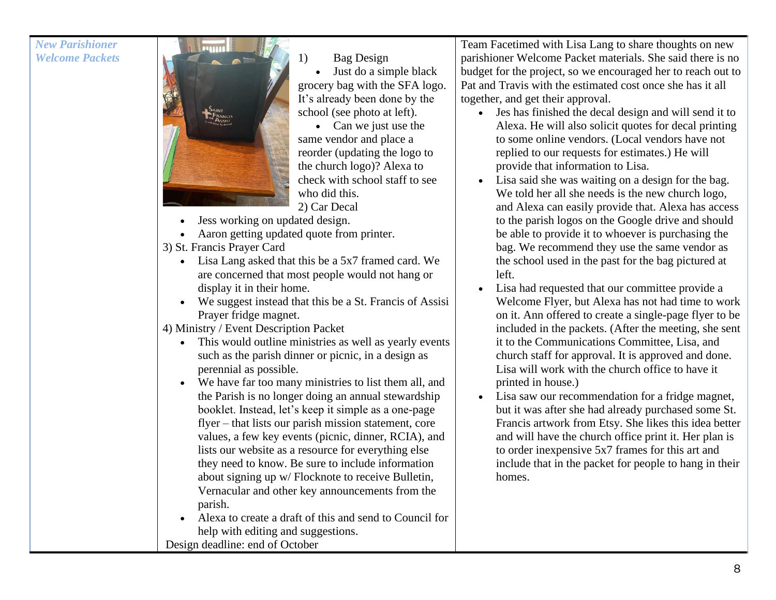

• Just do a simple black grocery bag with the SFA logo. It's already been done by the school (see photo at left).

• Can we just use the same vendor and place a reorder (updating the logo to the church logo)? Alexa to check with school staff to see who did this.

2) Car Decal

- Jess working on updated design.
- Aaron getting updated quote from printer.

3) St. Francis Prayer Card

- Lisa Lang asked that this be a 5x7 framed card. We are concerned that most people would not hang or display it in their home.
- We suggest instead that this be a St. Francis of Assisi Prayer fridge magnet.

4) Ministry / Event Description Packet

- This would outline ministries as well as yearly events such as the parish dinner or picnic, in a design as perennial as possible.
- We have far too many ministries to list them all, and the Parish is no longer doing an annual stewardship booklet. Instead, let's keep it simple as a one-page flyer – that lists our parish mission statement, core values, a few key events (picnic, dinner, RCIA), and lists our website as a resource for everything else they need to know. Be sure to include information about signing up w/ Flocknote to receive Bulletin, Vernacular and other key announcements from the parish.
- Alexa to create a draft of this and send to Council for help with editing and suggestions. Design deadline: end of October

Team Facetimed with Lisa Lang to share thoughts on new parishioner Welcome Packet materials. She said there is no budget for the project, so we encouraged her to reach out to Pat and Travis with the estimated cost once she has it all together, and get their approval.

- Jes has finished the decal design and will send it to Alexa. He will also solicit quotes for decal printing to some online vendors. (Local vendors have not replied to our requests for estimates.) He will provide that information to Lisa.
- Lisa said she was waiting on a design for the bag. We told her all she needs is the new church logo, and Alexa can easily provide that. Alexa has access to the parish logos on the Google drive and should be able to provide it to whoever is purchasing the bag. We recommend they use the same vendor as the school used in the past for the bag pictured at left.
- Lisa had requested that our committee provide a Welcome Flyer, but Alexa has not had time to work on it. Ann offered to create a single-page flyer to be included in the packets. (After the meeting, she sent it to the Communications Committee, Lisa, and church staff for approval. It is approved and done. Lisa will work with the church office to have it printed in house.)
- Lisa saw our recommendation for a fridge magnet, but it was after she had already purchased some St. Francis artwork from Etsy. She likes this idea better and will have the church office print it. Her plan is to order inexpensive 5x7 frames for this art and include that in the packet for people to hang in their homes.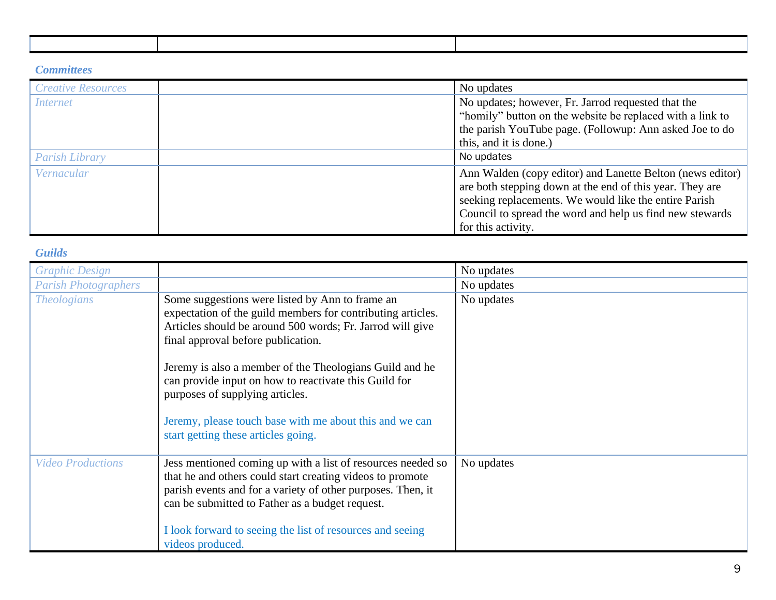### *Committees*

| <b>Creative Resources</b> | No updates                                                |
|---------------------------|-----------------------------------------------------------|
| <i>Internet</i>           | No updates; however, Fr. Jarrod requested that the        |
|                           | "homily" button on the website be replaced with a link to |
|                           | the parish YouTube page. (Followup: Ann asked Joe to do   |
|                           | this, and it is done.)                                    |
| Parish Library            | No updates                                                |
| Vernacular                | Ann Walden (copy editor) and Lanette Belton (news editor) |
|                           | are both stepping down at the end of this year. They are  |
|                           | seeking replacements. We would like the entire Parish     |
|                           | Council to spread the word and help us find new stewards  |
|                           | for this activity.                                        |

### *Guilds*

| <b>Graphic Design</b>       |                                                                                                                                                                                                                                                                                                                             | No updates |
|-----------------------------|-----------------------------------------------------------------------------------------------------------------------------------------------------------------------------------------------------------------------------------------------------------------------------------------------------------------------------|------------|
| <b>Parish Photographers</b> |                                                                                                                                                                                                                                                                                                                             | No updates |
| <b>Theologians</b>          | Some suggestions were listed by Ann to frame an<br>expectation of the guild members for contributing articles.<br>Articles should be around 500 words; Fr. Jarrod will give<br>final approval before publication.                                                                                                           | No updates |
|                             | Jeremy is also a member of the Theologians Guild and he<br>can provide input on how to reactivate this Guild for<br>purposes of supplying articles.<br>Jeremy, please touch base with me about this and we can<br>start getting these articles going.                                                                       |            |
| <b>Video Productions</b>    | Jess mentioned coming up with a list of resources needed so<br>that he and others could start creating videos to promote<br>parish events and for a variety of other purposes. Then, it<br>can be submitted to Father as a budget request.<br>I look forward to seeing the list of resources and seeing<br>videos produced. | No updates |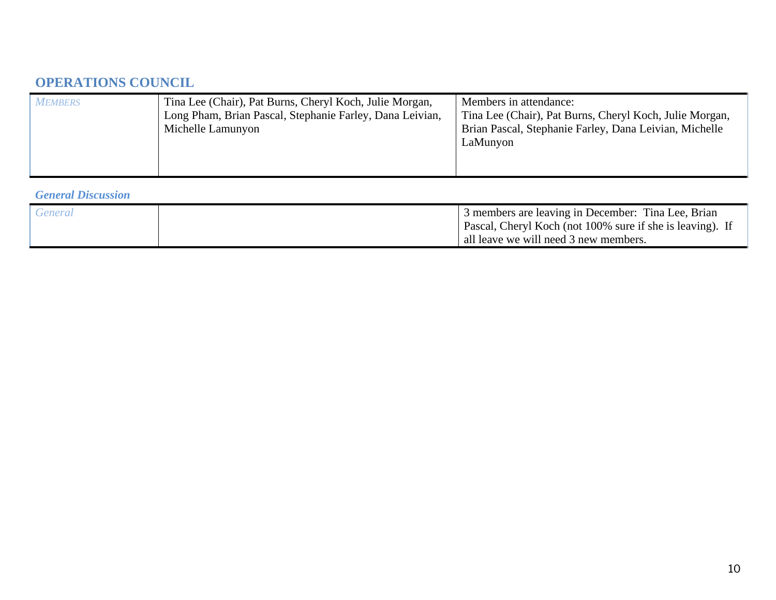### **OPERATIONS COUNCIL**

| <b>MEMBERS</b> | Tina Lee (Chair), Pat Burns, Cheryl Koch, Julie Morgan,<br>Long Pham, Brian Pascal, Stephanie Farley, Dana Leivian,<br>Michelle Lamunyon | Members in attendance:<br>Tina Lee (Chair), Pat Burns, Cheryl Koch, Julie Morgan,<br>Brian Pascal, Stephanie Farley, Dana Leivian, Michelle<br>LaMunyon |
|----------------|------------------------------------------------------------------------------------------------------------------------------------------|---------------------------------------------------------------------------------------------------------------------------------------------------------|
|                |                                                                                                                                          |                                                                                                                                                         |

### *General Discussion*

| General | 3 members are leaving in December: Tina Lee, Brian        |
|---------|-----------------------------------------------------------|
|         | Pascal, Cheryl Koch (not 100% sure if she is leaving). If |
|         | all leave we will need 3 new members.                     |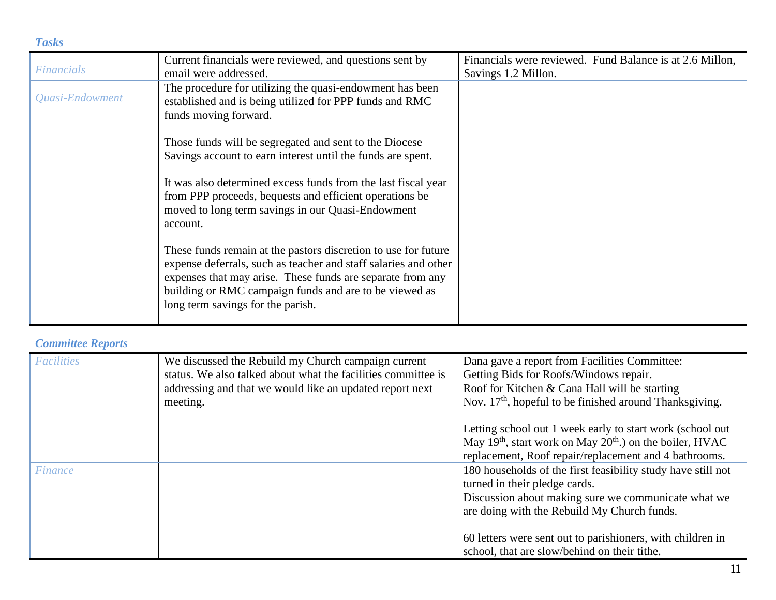| <b>Tasks</b>      |                                                                                                                                                                                                                                                                                                |                                                                                 |
|-------------------|------------------------------------------------------------------------------------------------------------------------------------------------------------------------------------------------------------------------------------------------------------------------------------------------|---------------------------------------------------------------------------------|
| <b>Financials</b> | Current financials were reviewed, and questions sent by<br>email were addressed.                                                                                                                                                                                                               | Financials were reviewed. Fund Balance is at 2.6 Millon,<br>Savings 1.2 Millon. |
| Quasi-Endowment   | The procedure for utilizing the quasi-endowment has been<br>established and is being utilized for PPP funds and RMC<br>funds moving forward.                                                                                                                                                   |                                                                                 |
|                   | Those funds will be segregated and sent to the Diocese<br>Savings account to earn interest until the funds are spent.                                                                                                                                                                          |                                                                                 |
|                   | It was also determined excess funds from the last fiscal year<br>from PPP proceeds, bequests and efficient operations be<br>moved to long term savings in our Quasi-Endowment<br>account.                                                                                                      |                                                                                 |
|                   | These funds remain at the pastors discretion to use for future<br>expense deferrals, such as teacher and staff salaries and other<br>expenses that may arise. These funds are separate from any<br>building or RMC campaign funds and are to be viewed as<br>long term savings for the parish. |                                                                                 |

### *Committee Reports*

| <b>Facilities</b> | We discussed the Rebuild my Church campaign current<br>status. We also talked about what the facilities committee is<br>addressing and that we would like an updated report next<br>meeting. | Dana gave a report from Facilities Committee:<br>Getting Bids for Roofs/Windows repair.<br>Roof for Kitchen & Cana Hall will be starting<br>Nov. 17 <sup>th</sup> , hopeful to be finished around Thanksgiving.                                                                                                   |
|-------------------|----------------------------------------------------------------------------------------------------------------------------------------------------------------------------------------------|-------------------------------------------------------------------------------------------------------------------------------------------------------------------------------------------------------------------------------------------------------------------------------------------------------------------|
|                   |                                                                                                                                                                                              | Letting school out 1 week early to start work (school out<br>May $19th$ , start work on May $20th$ .) on the boiler, HVAC<br>replacement, Roof repair/replacement and 4 bathrooms.                                                                                                                                |
| Finance           |                                                                                                                                                                                              | 180 households of the first feasibility study have still not<br>turned in their pledge cards.<br>Discussion about making sure we communicate what we<br>are doing with the Rebuild My Church funds.<br>60 letters were sent out to parishioners, with children in<br>school, that are slow/behind on their tithe. |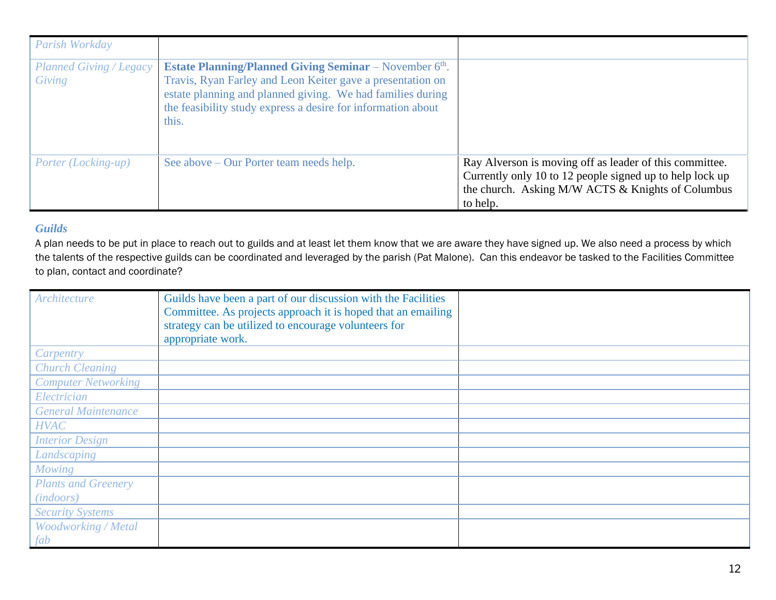| Parish Workday                           |                                                                                                                                                                                                                                                                       |                                                                                                                                                                                      |
|------------------------------------------|-----------------------------------------------------------------------------------------------------------------------------------------------------------------------------------------------------------------------------------------------------------------------|--------------------------------------------------------------------------------------------------------------------------------------------------------------------------------------|
| Planned Giving / Legacy<br><b>Giving</b> | <b>Estate Planning/Planned Giving Seminar</b> – November $6th$ .<br>Travis, Ryan Farley and Leon Keiter gave a presentation on<br>estate planning and planned giving. We had families during<br>the feasibility study express a desire for information about<br>this. |                                                                                                                                                                                      |
| Porter (Locking-up)                      | See above – Our Porter team needs help.                                                                                                                                                                                                                               | Ray Alverson is moving off as leader of this committee.<br>Currently only 10 to 12 people signed up to help lock up<br>the church. Asking M/W ACTS & Knights of Columbus<br>to help. |

#### *Guilds*

A plan needs to be put in place to reach out to guilds and at least let them know that we are aware they have signed up. We also need a process by which the talents of the respective guilds can be coordinated and leveraged by the parish (Pat Malone). Can this endeavor be tasked to the Facilities Committee to plan, contact and coordinate?

| <b>Architecture</b>        | Guilds have been a part of our discussion with the Facilities<br>Committee. As projects approach it is hoped that an emailing<br>strategy can be utilized to encourage volunteers for |  |
|----------------------------|---------------------------------------------------------------------------------------------------------------------------------------------------------------------------------------|--|
|                            | appropriate work.                                                                                                                                                                     |  |
| Carpentry                  |                                                                                                                                                                                       |  |
| <b>Church Cleaning</b>     |                                                                                                                                                                                       |  |
| <b>Computer Networking</b> |                                                                                                                                                                                       |  |
| Electrician                |                                                                                                                                                                                       |  |
| <b>General Maintenance</b> |                                                                                                                                                                                       |  |
| <b>HVAC</b>                |                                                                                                                                                                                       |  |
| <b>Interior Design</b>     |                                                                                                                                                                                       |  |
| <b>Landscaping</b>         |                                                                                                                                                                                       |  |
| <b>Mowing</b>              |                                                                                                                                                                                       |  |
| <b>Plants and Greenery</b> |                                                                                                                                                                                       |  |
| (indoors)                  |                                                                                                                                                                                       |  |
| <b>Security Systems</b>    |                                                                                                                                                                                       |  |
| <b>Woodworking / Metal</b> |                                                                                                                                                                                       |  |
| fab                        |                                                                                                                                                                                       |  |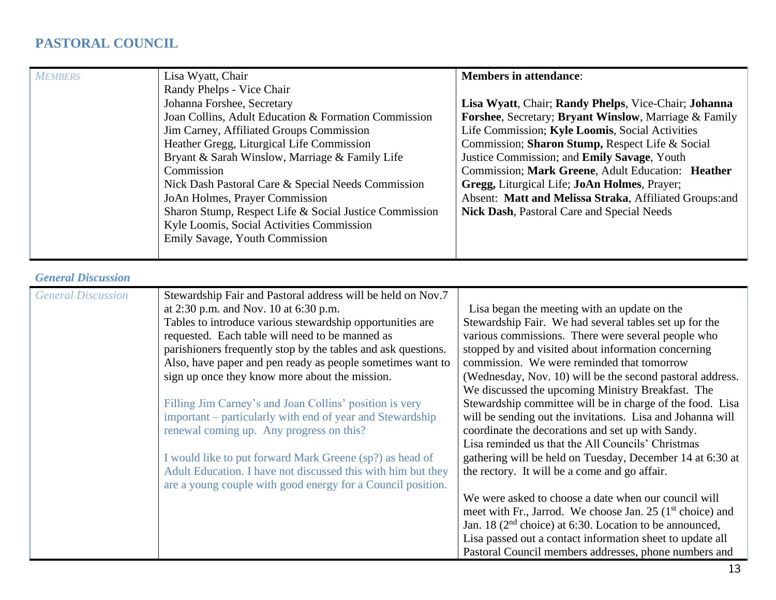### **PASTORAL COUNCIL**

| <b>MEMBERS</b> | Lisa Wyatt, Chair                                      | <b>Members in attendance:</b>                           |
|----------------|--------------------------------------------------------|---------------------------------------------------------|
|                | Randy Phelps - Vice Chair                              |                                                         |
|                | Johanna Forshee, Secretary                             | Lisa Wyatt, Chair; Randy Phelps, Vice-Chair; Johanna    |
|                | Joan Collins, Adult Education & Formation Commission   | Forshee, Secretary; Bryant Winslow, Marriage & Family   |
|                | Jim Carney, Affiliated Groups Commission               | Life Commission; Kyle Loomis, Social Activities         |
|                | Heather Gregg, Liturgical Life Commission              | Commission; Sharon Stump, Respect Life & Social         |
|                | Bryant & Sarah Winslow, Marriage & Family Life         | Justice Commission; and <b>Emily Savage</b> , Youth     |
|                | Commission                                             | Commission; Mark Greene, Adult Education: Heather       |
|                | Nick Dash Pastoral Care & Special Needs Commission     | Gregg, Liturgical Life; JoAn Holmes, Prayer;            |
|                | JoAn Holmes, Prayer Commission                         | Absent: Matt and Melissa Straka, Affiliated Groups: and |
|                | Sharon Stump, Respect Life & Social Justice Commission | <b>Nick Dash, Pastoral Care and Special Needs</b>       |
|                | Kyle Loomis, Social Activities Commission              |                                                         |
|                | Emily Savage, Youth Commission                         |                                                         |
|                |                                                        |                                                         |

### *General Discussion*

| <b>General Discussion</b> | Stewardship Fair and Pastoral address will be held on Nov.7<br>at 2:30 p.m. and Nov. 10 at 6:30 p.m.<br>Tables to introduce various stewardship opportunities are | Lisa began the meeting with an update on the<br>Stewardship Fair. We had several tables set up for the |
|---------------------------|-------------------------------------------------------------------------------------------------------------------------------------------------------------------|--------------------------------------------------------------------------------------------------------|
|                           | requested. Each table will need to be manned as                                                                                                                   | various commissions. There were several people who                                                     |
|                           | parishioners frequently stop by the tables and ask questions.<br>Also, have paper and pen ready as people sometimes want to                                       | stopped by and visited about information concerning<br>commission. We were reminded that tomorrow      |
|                           | sign up once they know more about the mission.                                                                                                                    | (Wednesday, Nov. 10) will be the second pastoral address.                                              |
|                           |                                                                                                                                                                   | We discussed the upcoming Ministry Breakfast. The                                                      |
|                           | Filling Jim Carney's and Joan Collins' position is very                                                                                                           | Stewardship committee will be in charge of the food. Lisa                                              |
|                           | important – particularly with end of year and Stewardship                                                                                                         | will be sending out the invitations. Lisa and Johanna will                                             |
|                           | renewal coming up. Any progress on this?                                                                                                                          | coordinate the decorations and set up with Sandy.                                                      |
|                           |                                                                                                                                                                   | Lisa reminded us that the All Councils' Christmas                                                      |
|                           | I would like to put forward Mark Greene (sp?) as head of                                                                                                          | gathering will be held on Tuesday, December 14 at 6:30 at                                              |
|                           | Adult Education. I have not discussed this with him but they<br>are a young couple with good energy for a Council position.                                       | the rectory. It will be a come and go affair.                                                          |
|                           |                                                                                                                                                                   | We were asked to choose a date when our council will                                                   |
|                           |                                                                                                                                                                   | meet with Fr., Jarrod. We choose Jan. 25 $(1st choice)$ and                                            |
|                           |                                                                                                                                                                   | Jan. 18 $(2nd choice)$ at 6:30. Location to be announced,                                              |
|                           |                                                                                                                                                                   | Lisa passed out a contact information sheet to update all                                              |
|                           |                                                                                                                                                                   | Pastoral Council members addresses, phone numbers and                                                  |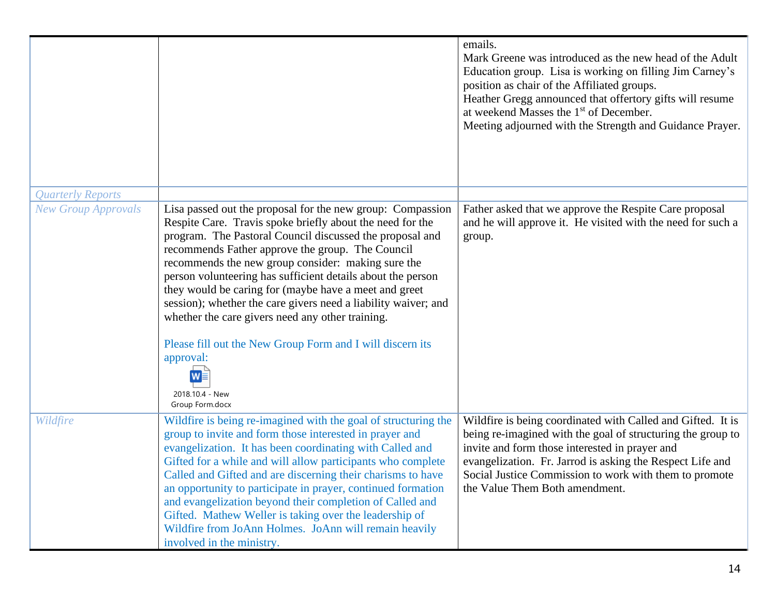| Lisa passed out the proposal for the new group: Compassion<br>Father asked that we approve the Respite Care proposal                                                                                                                                                                                                                                                                                                                                                                                                                                                                                                                                                                                                                                                                                                                                                                                        |
|-------------------------------------------------------------------------------------------------------------------------------------------------------------------------------------------------------------------------------------------------------------------------------------------------------------------------------------------------------------------------------------------------------------------------------------------------------------------------------------------------------------------------------------------------------------------------------------------------------------------------------------------------------------------------------------------------------------------------------------------------------------------------------------------------------------------------------------------------------------------------------------------------------------|
| Respite Care. Travis spoke briefly about the need for the<br>and he will approve it. He visited with the need for such a<br>program. The Pastoral Council discussed the proposal and<br>group.<br>recommends Father approve the group. The Council<br>recommends the new group consider: making sure the<br>person volunteering has sufficient details about the person<br>they would be caring for (maybe have a meet and greet<br>session); whether the care givers need a liability waiver; and<br>whether the care givers need any other training.<br>Please fill out the New Group Form and I will discern its                                                                                                                                                                                                                                                                                         |
| Wildfire is being coordinated with Called and Gifted. It is<br>Wildfire is being re-imagined with the goal of structuring the<br>group to invite and form those interested in prayer and<br>being re-imagined with the goal of structuring the group to<br>evangelization. It has been coordinating with Called and<br>invite and form those interested in prayer and<br>Gifted for a while and will allow participants who complete<br>evangelization. Fr. Jarrod is asking the Respect Life and<br>Called and Gifted and are discerning their charisms to have<br>Social Justice Commission to work with them to promote<br>an opportunity to participate in prayer, continued formation<br>the Value Them Both amendment.<br>and evangelization beyond their completion of Called and<br>Gifted. Mathew Weller is taking over the leadership of<br>Wildfire from JoAnn Holmes. JoAnn will remain heavily |
|                                                                                                                                                                                                                                                                                                                                                                                                                                                                                                                                                                                                                                                                                                                                                                                                                                                                                                             |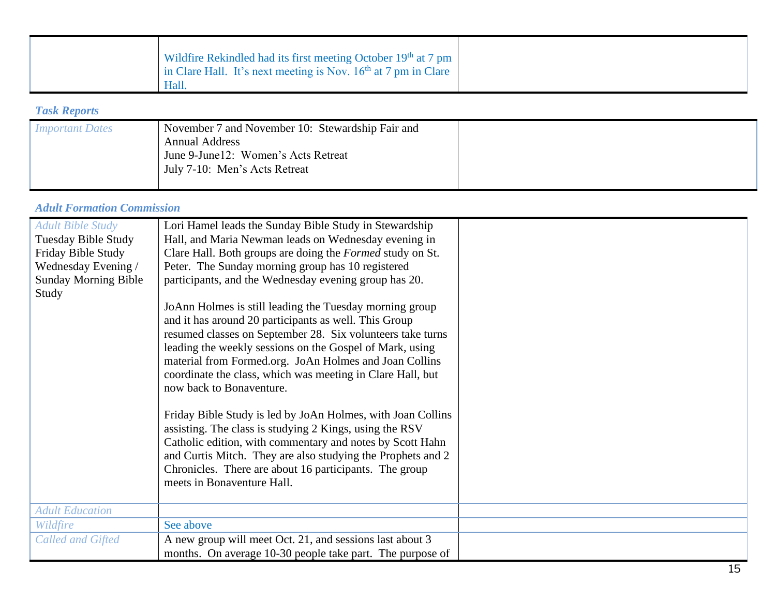| Wildfire Rekindled had its first meeting October 19 <sup>th</sup> at 7 pm  <br>in Clare Hall. It's next meeting is Nov. $16th$ at 7 pm in Clare<br>Hall |  |
|---------------------------------------------------------------------------------------------------------------------------------------------------------|--|
|---------------------------------------------------------------------------------------------------------------------------------------------------------|--|

### *Task Reports*

### *Adult Formation Commission*

| <b>Adult Bible Study</b>    | Lori Hamel leads the Sunday Bible Study in Stewardship      |  |
|-----------------------------|-------------------------------------------------------------|--|
| <b>Tuesday Bible Study</b>  | Hall, and Maria Newman leads on Wednesday evening in        |  |
| Friday Bible Study          | Clare Hall. Both groups are doing the Formed study on St.   |  |
| Wednesday Evening /         | Peter. The Sunday morning group has 10 registered           |  |
| <b>Sunday Morning Bible</b> | participants, and the Wednesday evening group has 20.       |  |
| Study                       |                                                             |  |
|                             | JoAnn Holmes is still leading the Tuesday morning group     |  |
|                             | and it has around 20 participants as well. This Group       |  |
|                             | resumed classes on September 28. Six volunteers take turns  |  |
|                             | leading the weekly sessions on the Gospel of Mark, using    |  |
|                             | material from Formed.org. JoAn Holmes and Joan Collins      |  |
|                             | coordinate the class, which was meeting in Clare Hall, but  |  |
|                             | now back to Bonaventure.                                    |  |
|                             | Friday Bible Study is led by JoAn Holmes, with Joan Collins |  |
|                             | assisting. The class is studying 2 Kings, using the RSV     |  |
|                             | Catholic edition, with commentary and notes by Scott Hahn   |  |
|                             | and Curtis Mitch. They are also studying the Prophets and 2 |  |
|                             | Chronicles. There are about 16 participants. The group      |  |
|                             | meets in Bonaventure Hall.                                  |  |
|                             |                                                             |  |
| <b>Adult Education</b>      |                                                             |  |
| Wildfire                    | See above                                                   |  |
| <b>Called and Gifted</b>    | A new group will meet Oct. 21, and sessions last about 3    |  |
|                             | months. On average 10-30 people take part. The purpose of   |  |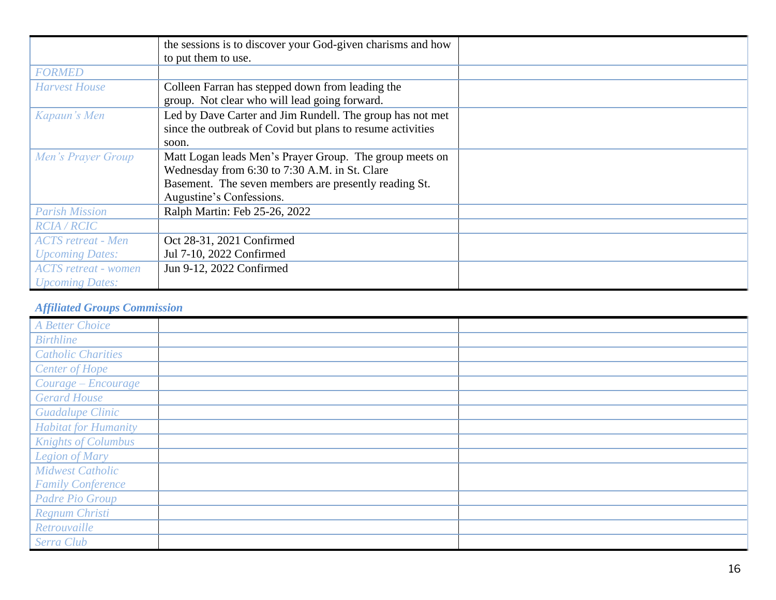|                             | the sessions is to discover your God-given charisms and how |  |
|-----------------------------|-------------------------------------------------------------|--|
|                             | to put them to use.                                         |  |
| <b>FORMED</b>               |                                                             |  |
| <b>Harvest House</b>        | Colleen Farran has stepped down from leading the            |  |
|                             | group. Not clear who will lead going forward.               |  |
| Kapaun's Men                | Led by Dave Carter and Jim Rundell. The group has not met   |  |
|                             | since the outbreak of Covid but plans to resume activities  |  |
|                             | soon.                                                       |  |
| Men's Prayer Group          | Matt Logan leads Men's Prayer Group. The group meets on     |  |
|                             | Wednesday from 6:30 to 7:30 A.M. in St. Clare               |  |
|                             | Basement. The seven members are presently reading St.       |  |
|                             | Augustine's Confessions.                                    |  |
| <b>Parish Mission</b>       | Ralph Martin: Feb 25-26, 2022                               |  |
| <b>RCIA / RCIC</b>          |                                                             |  |
| <b>ACTS</b> retreat - Men   | Oct 28-31, 2021 Confirmed                                   |  |
| <b>Upcoming Dates:</b>      | Jul 7-10, 2022 Confirmed                                    |  |
| <b>ACTS</b> retreat - women | Jun 9-12, 2022 Confirmed                                    |  |
| <b>Upcoming Dates:</b>      |                                                             |  |

### *Affiliated Groups Commission*

| A Better Choice             |  |
|-----------------------------|--|
| <b>Birthline</b>            |  |
| <b>Catholic Charities</b>   |  |
| <b>Center of Hope</b>       |  |
| Courage - Encourage         |  |
| <b>Gerard House</b>         |  |
| <b>Guadalupe Clinic</b>     |  |
| <b>Habitat for Humanity</b> |  |
| <b>Knights of Columbus</b>  |  |
| Legion of Mary              |  |
| <b>Midwest Catholic</b>     |  |
| <b>Family Conference</b>    |  |
| Padre Pio Group             |  |
| Regnum Christi              |  |
| Retrouvaille                |  |
| Serra Club                  |  |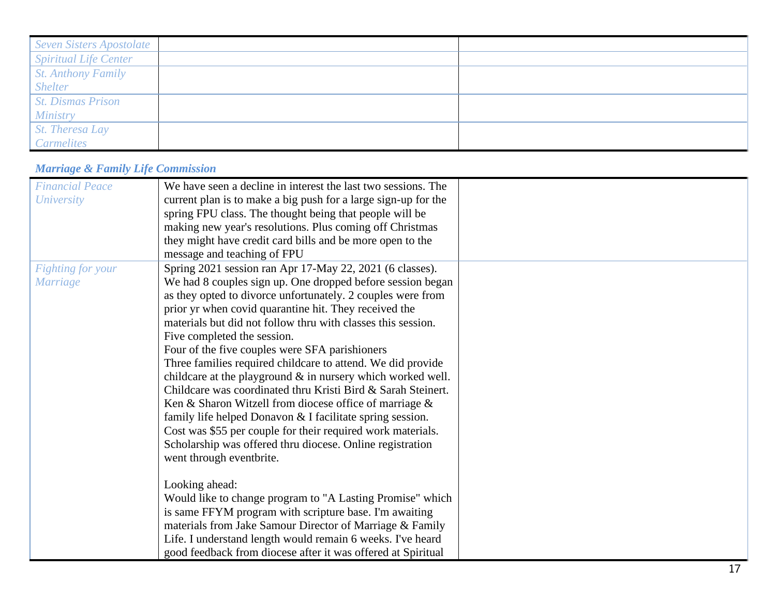| Seven Sisters Apostolate     |  |
|------------------------------|--|
| <b>Spiritual Life Center</b> |  |
| <b>St. Anthony Family</b>    |  |
| <b>Shelter</b>               |  |
| <b>St. Dismas Prison</b>     |  |
| <b>Ministry</b>              |  |
| St. Theresa Lay              |  |
| <b>Carmelites</b>            |  |

### *Marriage & Family Life Commission*

| <b>Financial Peace</b>   | We have seen a decline in interest the last two sessions. The  |  |
|--------------------------|----------------------------------------------------------------|--|
| <b>University</b>        | current plan is to make a big push for a large sign-up for the |  |
|                          | spring FPU class. The thought being that people will be        |  |
|                          | making new year's resolutions. Plus coming off Christmas       |  |
|                          | they might have credit card bills and be more open to the      |  |
|                          | message and teaching of FPU                                    |  |
| <b>Fighting for your</b> | Spring 2021 session ran Apr 17-May 22, 2021 (6 classes).       |  |
| <b>Marriage</b>          | We had 8 couples sign up. One dropped before session began     |  |
|                          | as they opted to divorce unfortunately. 2 couples were from    |  |
|                          | prior yr when covid quarantine hit. They received the          |  |
|                          | materials but did not follow thru with classes this session.   |  |
|                          | Five completed the session.                                    |  |
|                          | Four of the five couples were SFA parishioners                 |  |
|                          | Three families required childcare to attend. We did provide    |  |
|                          | childcare at the playground & in nursery which worked well.    |  |
|                          | Childcare was coordinated thru Kristi Bird & Sarah Steinert.   |  |
|                          | Ken & Sharon Witzell from diocese office of marriage &         |  |
|                          | family life helped Donavon $&$ I facilitate spring session.    |  |
|                          | Cost was \$55 per couple for their required work materials.    |  |
|                          | Scholarship was offered thru diocese. Online registration      |  |
|                          | went through eventbrite.                                       |  |
|                          |                                                                |  |
|                          | Looking ahead:                                                 |  |
|                          | Would like to change program to "A Lasting Promise" which      |  |
|                          | is same FFYM program with scripture base. I'm awaiting         |  |
|                          | materials from Jake Samour Director of Marriage & Family       |  |
|                          | Life. I understand length would remain 6 weeks. I've heard     |  |
|                          | good feedback from diocese after it was offered at Spiritual   |  |
|                          |                                                                |  |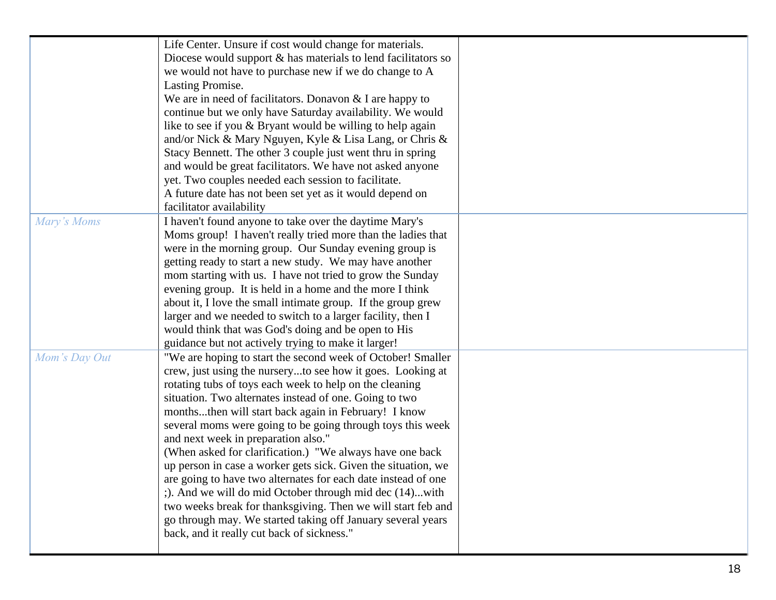|               | Life Center. Unsure if cost would change for materials.          |  |
|---------------|------------------------------------------------------------------|--|
|               | Diocese would support $\&$ has materials to lend facilitators so |  |
|               | we would not have to purchase new if we do change to A           |  |
|               | Lasting Promise.                                                 |  |
|               | We are in need of facilitators. Donavon $& I$ are happy to       |  |
|               | continue but we only have Saturday availability. We would        |  |
|               |                                                                  |  |
|               | like to see if you & Bryant would be willing to help again       |  |
|               | and/or Nick & Mary Nguyen, Kyle & Lisa Lang, or Chris &          |  |
|               | Stacy Bennett. The other 3 couple just went thru in spring       |  |
|               | and would be great facilitators. We have not asked anyone        |  |
|               | yet. Two couples needed each session to facilitate.              |  |
|               | A future date has not been set yet as it would depend on         |  |
|               | facilitator availability                                         |  |
| Mary's Moms   | I haven't found anyone to take over the daytime Mary's           |  |
|               | Moms group! I haven't really tried more than the ladies that     |  |
|               | were in the morning group. Our Sunday evening group is           |  |
|               | getting ready to start a new study. We may have another          |  |
|               | mom starting with us. I have not tried to grow the Sunday        |  |
|               | evening group. It is held in a home and the more I think         |  |
|               | about it, I love the small intimate group. If the group grew     |  |
|               | larger and we needed to switch to a larger facility, then I      |  |
|               | would think that was God's doing and be open to His              |  |
|               | guidance but not actively trying to make it larger!              |  |
| Mom's Day Out | "We are hoping to start the second week of October! Smaller      |  |
|               | crew, just using the nurseryto see how it goes. Looking at       |  |
|               | rotating tubs of toys each week to help on the cleaning          |  |
|               | situation. Two alternates instead of one. Going to two           |  |
|               | monthsthen will start back again in February! I know             |  |
|               | several moms were going to be going through toys this week       |  |
|               | and next week in preparation also."                              |  |
|               | (When asked for clarification.) "We always have one back         |  |
|               | up person in case a worker gets sick. Given the situation, we    |  |
|               | are going to have two alternates for each date instead of one    |  |
|               | ;). And we will do mid October through mid dec (14)with          |  |
|               | two weeks break for thanksgiving. Then we will start feb and     |  |
|               | go through may. We started taking off January several years      |  |
|               | back, and it really cut back of sickness."                       |  |
|               |                                                                  |  |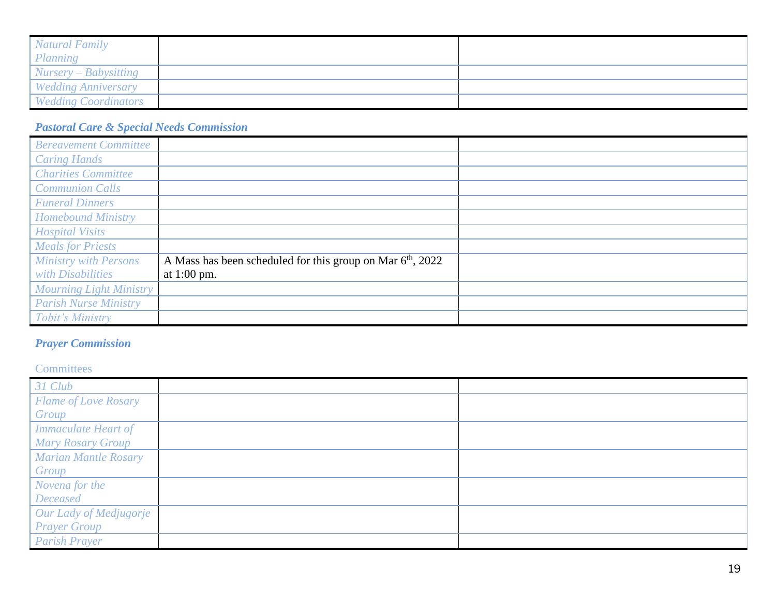| <b>Natural Family</b>       |  |
|-----------------------------|--|
| Planning                    |  |
| $Nursery-Babysitting$       |  |
| <b>Wedding Anniversary</b>  |  |
| <b>Wedding Coordinators</b> |  |

### *Pastoral Care & Special Needs Commission*

| <b>Bereavement Committee</b>   |                                                              |  |
|--------------------------------|--------------------------------------------------------------|--|
| <b>Caring Hands</b>            |                                                              |  |
| <b>Charities Committee</b>     |                                                              |  |
| <b>Communion Calls</b>         |                                                              |  |
| <b>Funeral Dinners</b>         |                                                              |  |
| <b>Homebound Ministry</b>      |                                                              |  |
| <b>Hospital Visits</b>         |                                                              |  |
| <b>Meals for Priests</b>       |                                                              |  |
| <b>Ministry with Persons</b>   | A Mass has been scheduled for this group on Mar $6th$ , 2022 |  |
| with Disabilities              | at $1:00$ pm.                                                |  |
| <b>Mourning Light Ministry</b> |                                                              |  |
| <b>Parish Nurse Ministry</b>   |                                                              |  |
| Tobit's Ministry               |                                                              |  |

### *Prayer Commission*

#### **Committees**

| 31 Club                     |  |
|-----------------------------|--|
| <b>Flame of Love Rosary</b> |  |
| Group                       |  |
| <b>Immaculate Heart of</b>  |  |
| <b>Mary Rosary Group</b>    |  |
| <b>Marian Mantle Rosary</b> |  |
| Group                       |  |
| Novena for the              |  |
| <b>Deceased</b>             |  |
| Our Lady of Medjugorje      |  |
| <b>Prayer Group</b>         |  |
| <b>Parish Prayer</b>        |  |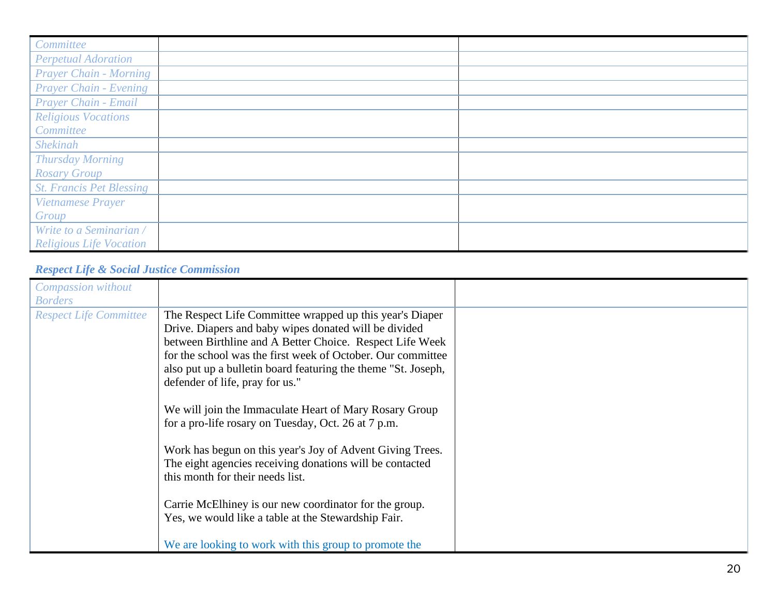| Committee                       |  |
|---------------------------------|--|
| Perpetual Adoration             |  |
| <b>Prayer Chain - Morning</b>   |  |
| Prayer Chain - Evening          |  |
| Prayer Chain - Email            |  |
| <b>Religious Vocations</b>      |  |
| Committee                       |  |
| Shekinah                        |  |
| <b>Thursday Morning</b>         |  |
| <b>Rosary Group</b>             |  |
| <b>St. Francis Pet Blessing</b> |  |
| Vietnamese Prayer               |  |
| Group                           |  |
| Write to a Seminarian /         |  |
| <b>Religious Life Vocation</b>  |  |

### *Respect Life & Social Justice Commission*

| <b>Borders</b> | <b>Compassion without</b>     |                                                                                                                                                                                                                                                                                                                                                                                                                                                                                                                                                                                                                                                                                                                                                 |  |
|----------------|-------------------------------|-------------------------------------------------------------------------------------------------------------------------------------------------------------------------------------------------------------------------------------------------------------------------------------------------------------------------------------------------------------------------------------------------------------------------------------------------------------------------------------------------------------------------------------------------------------------------------------------------------------------------------------------------------------------------------------------------------------------------------------------------|--|
|                | <b>Respect Life Committee</b> | The Respect Life Committee wrapped up this year's Diaper<br>Drive. Diapers and baby wipes donated will be divided<br>between Birthline and A Better Choice. Respect Life Week<br>for the school was the first week of October. Our committee<br>also put up a bulletin board featuring the theme "St. Joseph,<br>defender of life, pray for us."<br>We will join the Immaculate Heart of Mary Rosary Group<br>for a pro-life rosary on Tuesday, Oct. 26 at 7 p.m.<br>Work has begun on this year's Joy of Advent Giving Trees.<br>The eight agencies receiving donations will be contacted<br>this month for their needs list.<br>Carrie McElhiney is our new coordinator for the group.<br>Yes, we would like a table at the Stewardship Fair. |  |
|                |                               | We are looking to work with this group to promote the                                                                                                                                                                                                                                                                                                                                                                                                                                                                                                                                                                                                                                                                                           |  |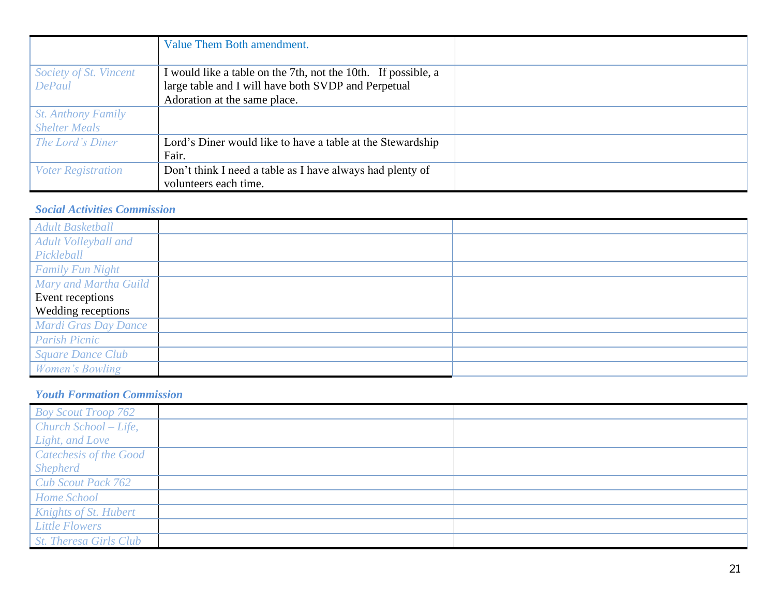|                           | Value Them Both amendment.                                    |  |
|---------------------------|---------------------------------------------------------------|--|
| Society of St. Vincent    | I would like a table on the 7th, not the 10th. If possible, a |  |
| <b>DePaul</b>             | large table and I will have both SVDP and Perpetual           |  |
|                           | Adoration at the same place.                                  |  |
| <b>St. Anthony Family</b> |                                                               |  |
| <b>Shelter Meals</b>      |                                                               |  |
| The Lord's Diner          | Lord's Diner would like to have a table at the Stewardship    |  |
|                           | Fair.                                                         |  |
| <b>Voter Registration</b> | Don't think I need a table as I have always had plenty of     |  |
|                           | volunteers each time.                                         |  |

#### *Social Activities Commission*

| <b>Adult Basketball</b>  |  |
|--------------------------|--|
| Adult Volleyball and     |  |
| Pickleball               |  |
| <b>Family Fun Night</b>  |  |
| Mary and Martha Guild    |  |
| Event receptions         |  |
| Wedding receptions       |  |
| Mardi Gras Day Dance     |  |
| <b>Parish Picnic</b>     |  |
| <b>Square Dance Club</b> |  |
| Women's Bowling          |  |

### *Youth Formation Commission*

| <b>Boy Scout Troop 762</b>    |  |
|-------------------------------|--|
| Church School - Life,         |  |
| Light, and Love               |  |
| Catechesis of the Good        |  |
| Shepherd                      |  |
| <b>Cub Scout Pack 762</b>     |  |
| Home School                   |  |
| Knights of St. Hubert         |  |
| <b>Little Flowers</b>         |  |
| <b>St. Theresa Girls Club</b> |  |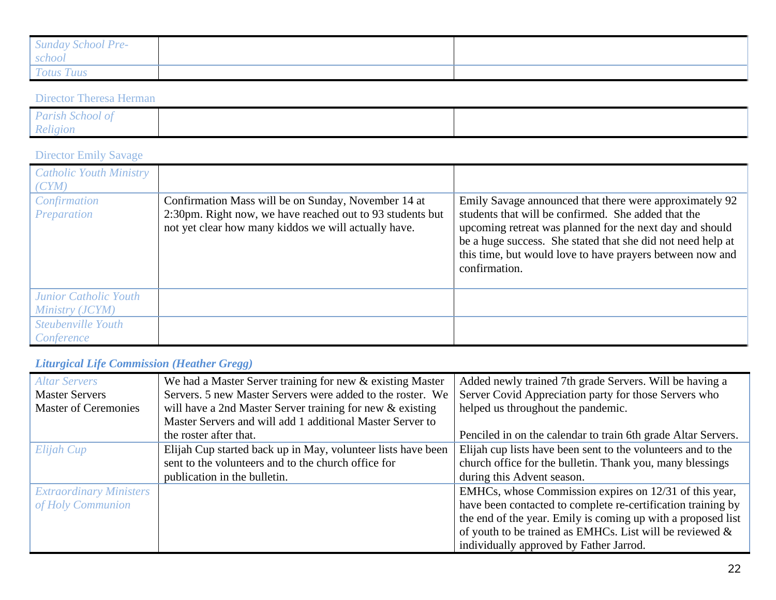| <b>Sunday School Pre-</b> |  |
|---------------------------|--|
| school                    |  |
| Totus Tuus                |  |

#### Director Theresa Herman

| Parish School of |  |
|------------------|--|
| Religion         |  |

### Director Emily Savage

| <b>Catholic Youth Ministry</b><br>(CYM)<br>Confirmation<br>Preparation | Confirmation Mass will be on Sunday, November 14 at<br>2:30pm. Right now, we have reached out to 93 students but<br>not yet clear how many kiddos we will actually have. | Emily Savage announced that there were approximately 92<br>students that will be confirmed. She added that the<br>upcoming retreat was planned for the next day and should<br>be a huge success. She stated that she did not need help at<br>this time, but would love to have prayers between now and<br>confirmation. |
|------------------------------------------------------------------------|--------------------------------------------------------------------------------------------------------------------------------------------------------------------------|-------------------------------------------------------------------------------------------------------------------------------------------------------------------------------------------------------------------------------------------------------------------------------------------------------------------------|
| <b>Junior Catholic Youth</b><br>Ministry (JCYM)                        |                                                                                                                                                                          |                                                                                                                                                                                                                                                                                                                         |
| Steubenville Youth<br>Conference                                       |                                                                                                                                                                          |                                                                                                                                                                                                                                                                                                                         |

### *Liturgical Life Commission (Heather Gregg)*

| <b>Altar Servers</b>           | We had a Master Server training for new & existing Master    | Added newly trained 7th grade Servers. Will be having a       |
|--------------------------------|--------------------------------------------------------------|---------------------------------------------------------------|
| <b>Master Servers</b>          | Servers. 5 new Master Servers were added to the roster. We   | Server Covid Appreciation party for those Servers who         |
| <b>Master of Ceremonies</b>    | will have a 2nd Master Server training for new & existing    | helped us throughout the pandemic.                            |
|                                | Master Servers and will add 1 additional Master Server to    |                                                               |
|                                | the roster after that.                                       | Penciled in on the calendar to train 6th grade Altar Servers. |
| Elijah Cup                     | Elijah Cup started back up in May, volunteer lists have been | Elijah cup lists have been sent to the volunteers and to the  |
|                                | sent to the volunteers and to the church office for          | church office for the bulletin. Thank you, many blessings     |
|                                | publication in the bulletin.                                 | during this Advent season.                                    |
| <b>Extraordinary Ministers</b> |                                                              | EMHCs, whose Commission expires on 12/31 of this year,        |
| of Holy Communion              |                                                              | have been contacted to complete re-certification training by  |
|                                |                                                              | the end of the year. Emily is coming up with a proposed list  |
|                                |                                                              | of youth to be trained as EMHCs. List will be reviewed $\&$   |
|                                |                                                              | individually approved by Father Jarrod.                       |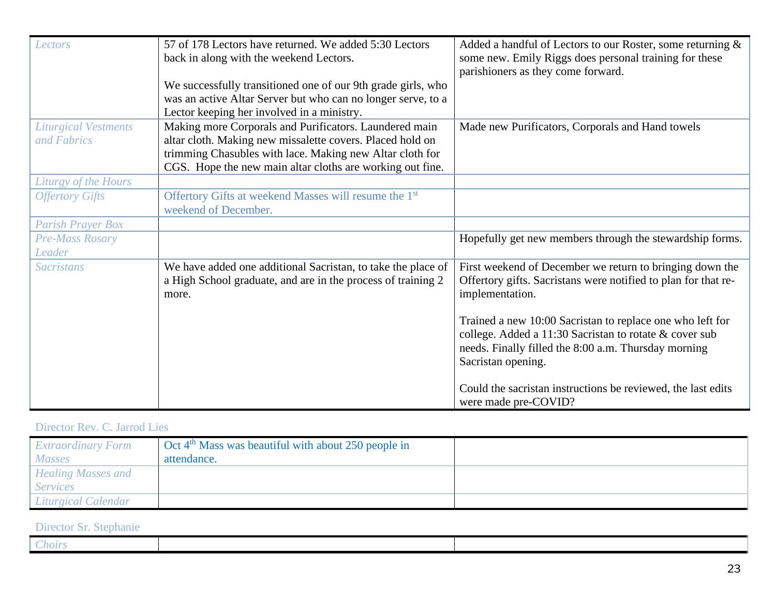| Lectors                     | 57 of 178 Lectors have returned. We added 5:30 Lectors            | Added a handful of Lectors to our Roster, some returning &     |
|-----------------------------|-------------------------------------------------------------------|----------------------------------------------------------------|
|                             | back in along with the weekend Lectors.                           | some new. Emily Riggs does personal training for these         |
|                             |                                                                   | parishioners as they come forward.                             |
|                             | We successfully transitioned one of our 9th grade girls, who      |                                                                |
|                             | was an active Altar Server but who can no longer serve, to a      |                                                                |
|                             | Lector keeping her involved in a ministry.                        |                                                                |
| <b>Liturgical Vestments</b> | Making more Corporals and Purificators. Laundered main            | Made new Purificators, Corporals and Hand towels               |
| and Fabrics                 | altar cloth. Making new missalette covers. Placed hold on         |                                                                |
|                             | trimming Chasubles with lace. Making new Altar cloth for          |                                                                |
|                             | CGS. Hope the new main altar cloths are working out fine.         |                                                                |
| Liturgy of the Hours        |                                                                   |                                                                |
| <b>Offertory Gifts</b>      | Offertory Gifts at weekend Masses will resume the 1 <sup>st</sup> |                                                                |
|                             | weekend of December.                                              |                                                                |
| <b>Parish Prayer Box</b>    |                                                                   |                                                                |
| <b>Pre-Mass Rosary</b>      |                                                                   | Hopefully get new members through the stewardship forms.       |
| Leader                      |                                                                   |                                                                |
| <b>Sacristans</b>           | We have added one additional Sacristan, to take the place of      | First weekend of December we return to bringing down the       |
|                             | a High School graduate, and are in the process of training 2      | Offertory gifts. Sacristans were notified to plan for that re- |
|                             | more.                                                             | implementation.                                                |
|                             |                                                                   |                                                                |
|                             |                                                                   | Trained a new 10:00 Sacristan to replace one who left for      |
|                             |                                                                   | college. Added a 11:30 Sacristan to rotate & cover sub         |
|                             |                                                                   | needs. Finally filled the 8:00 a.m. Thursday morning           |
|                             |                                                                   | Sacristan opening.                                             |
|                             |                                                                   |                                                                |
|                             |                                                                   | Could the sacristan instructions be reviewed, the last edits   |
|                             |                                                                   | were made pre-COVID?                                           |

### Director Rev. C. Jarrod Lies

| <i>Extraordinary Form</i><br>Masses          | $\int$ Oct 4 <sup>th</sup> Mass was beautiful with about 250 people in<br>attendance. |  |
|----------------------------------------------|---------------------------------------------------------------------------------------|--|
| <b>Healing Masses and</b><br><b>Services</b> |                                                                                       |  |
| Liturgical Calendar                          |                                                                                       |  |

#### Director Sr. Stephanie

| .                 |  |
|-------------------|--|
| AOUT <sup>c</sup> |  |
|                   |  |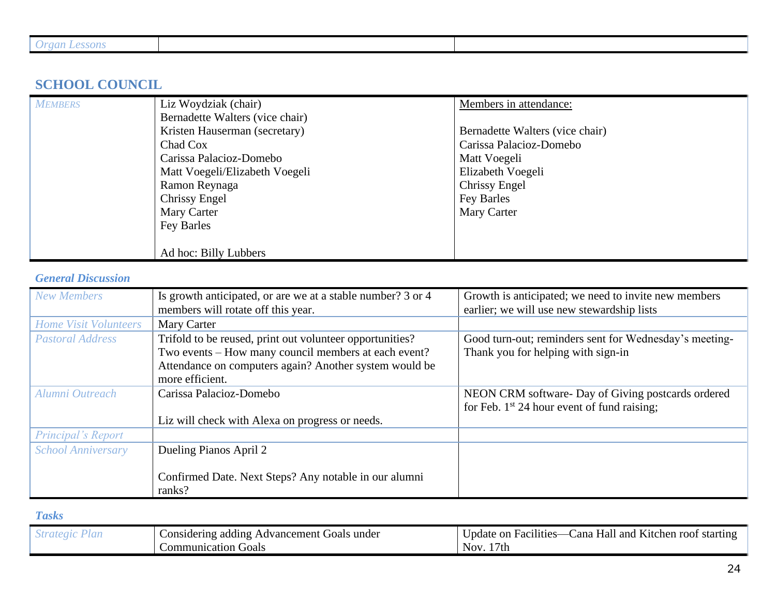| Organ Lessons |
|---------------|
|               |

### **SCHOOL COUNCIL**

| <b>MEMBERS</b> | Liz Woydziak (chair)            | Members in attendance:          |
|----------------|---------------------------------|---------------------------------|
|                | Bernadette Walters (vice chair) |                                 |
|                | Kristen Hauserman (secretary)   | Bernadette Walters (vice chair) |
|                | Chad Cox                        | Carissa Palacioz-Domebo         |
|                | Carissa Palacioz-Domebo         | Matt Voegeli                    |
|                | Matt Voegeli/Elizabeth Voegeli  | Elizabeth Voegeli               |
|                | Ramon Reynaga                   | <b>Chrissy Engel</b>            |
|                | Chrissy Engel                   | Fey Barles                      |
|                | Mary Carter                     | Mary Carter                     |
|                | Fey Barles                      |                                 |
|                |                                 |                                 |
|                | Ad hoc: Billy Lubbers           |                                 |

#### *General Discussion*

| <b>New Members</b>           | Is growth anticipated, or are we at a stable number? 3 or 4<br>members will rotate off this year. | Growth is anticipated; we need to invite new members<br>earlier; we will use new stewardship lists |
|------------------------------|---------------------------------------------------------------------------------------------------|----------------------------------------------------------------------------------------------------|
|                              |                                                                                                   |                                                                                                    |
| <b>Home Visit Volunteers</b> | Mary Carter                                                                                       |                                                                                                    |
| <b>Pastoral Address</b>      | Trifold to be reused, print out volunteer opportunities?                                          | Good turn-out; reminders sent for Wednesday's meeting-                                             |
|                              | Two events - How many council members at each event?                                              | Thank you for helping with sign-in                                                                 |
|                              | Attendance on computers again? Another system would be                                            |                                                                                                    |
|                              | more efficient.                                                                                   |                                                                                                    |
| Alumni Outreach              | Carissa Palacioz-Domebo                                                                           | NEON CRM software- Day of Giving postcards ordered                                                 |
|                              |                                                                                                   | for Feb. $1st 24$ hour event of fund raising;                                                      |
|                              | Liz will check with Alexa on progress or needs.                                                   |                                                                                                    |
| Principal's Report           |                                                                                                   |                                                                                                    |
| <b>School Anniversary</b>    | Dueling Pianos April 2                                                                            |                                                                                                    |
|                              |                                                                                                   |                                                                                                    |
|                              | Confirmed Date. Next Steps? Any notable in our alumni                                             |                                                                                                    |
|                              | ranks?                                                                                            |                                                                                                    |

#### *Tasks*

| under<br>onsidering adding<br>Goals<br>Advancement | $\cdots$<br>and<br>∠ana<br>starting<br>Jpdate<br>Hal<br>Kitchen<br>. roof<br>on<br><b>Facilities</b> |
|----------------------------------------------------|------------------------------------------------------------------------------------------------------|
| ommunication/<br><b>Goals</b>                      | $\overline{ }$<br>7th<br><b>NOV</b>                                                                  |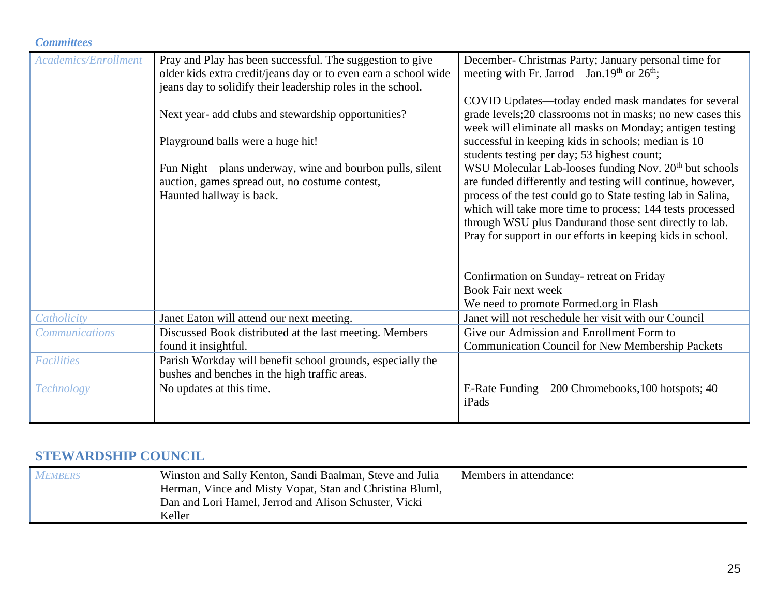| <b>Committees</b>     |                                                                                                                                                                                             |                                                                                                                                                                                                  |
|-----------------------|---------------------------------------------------------------------------------------------------------------------------------------------------------------------------------------------|--------------------------------------------------------------------------------------------------------------------------------------------------------------------------------------------------|
| Academics/Enrollment  | Pray and Play has been successful. The suggestion to give<br>older kids extra credit/jeans day or to even earn a school wide<br>jeans day to solidify their leadership roles in the school. | December- Christmas Party; January personal time for<br>meeting with Fr. Jarrod—Jan.19 <sup>th</sup> or 26 <sup>th</sup> ;                                                                       |
|                       |                                                                                                                                                                                             | COVID Updates—today ended mask mandates for several                                                                                                                                              |
|                       | Next year- add clubs and stewardship opportunities?                                                                                                                                         | grade levels; 20 classrooms not in masks; no new cases this<br>week will eliminate all masks on Monday; antigen testing                                                                          |
|                       | Playground balls were a huge hit!                                                                                                                                                           | successful in keeping kids in schools; median is 10<br>students testing per day; 53 highest count;                                                                                               |
|                       | Fun Night – plans underway, wine and bourbon pulls, silent<br>auction, games spread out, no costume contest,<br>Haunted hallway is back.                                                    | WSU Molecular Lab-looses funding Nov. 20 <sup>th</sup> but schools<br>are funded differently and testing will continue, however,<br>process of the test could go to State testing lab in Salina, |
|                       |                                                                                                                                                                                             | which will take more time to process; 144 tests processed<br>through WSU plus Dandurand those sent directly to lab.                                                                              |
|                       |                                                                                                                                                                                             | Pray for support in our efforts in keeping kids in school.                                                                                                                                       |
|                       |                                                                                                                                                                                             | Confirmation on Sunday-retreat on Friday                                                                                                                                                         |
|                       |                                                                                                                                                                                             | <b>Book Fair next week</b>                                                                                                                                                                       |
|                       |                                                                                                                                                                                             | We need to promote Formed.org in Flash                                                                                                                                                           |
| Catholicity           | Janet Eaton will attend our next meeting.                                                                                                                                                   | Janet will not reschedule her visit with our Council                                                                                                                                             |
| <b>Communications</b> | Discussed Book distributed at the last meeting. Members                                                                                                                                     | Give our Admission and Enrollment Form to                                                                                                                                                        |
|                       | found it insightful.                                                                                                                                                                        | <b>Communication Council for New Membership Packets</b>                                                                                                                                          |
| <b>Facilities</b>     | Parish Workday will benefit school grounds, especially the                                                                                                                                  |                                                                                                                                                                                                  |
|                       | bushes and benches in the high traffic areas.                                                                                                                                               |                                                                                                                                                                                                  |
| Technology            | No updates at this time.                                                                                                                                                                    | E-Rate Funding—200 Chromebooks, 100 hotspots; 40<br>iPads                                                                                                                                        |
|                       |                                                                                                                                                                                             |                                                                                                                                                                                                  |

### **STEWARDSHIP COUNCIL**

| <b>MEMBERS</b> | Winston and Sally Kenton, Sandi Baalman, Steve and Julia | Members in attendance: |
|----------------|----------------------------------------------------------|------------------------|
|                | Herman, Vince and Misty Vopat, Stan and Christina Bluml, |                        |
|                | Dan and Lori Hamel, Jerrod and Alison Schuster, Vicki    |                        |
|                | Keller                                                   |                        |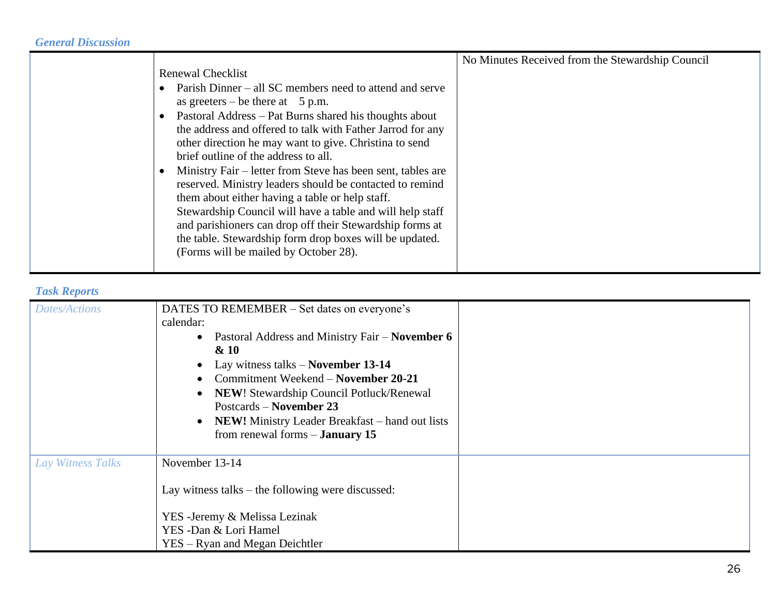| <b>Renewal Checklist</b><br>Parish Dinner – all SC members need to attend and serve<br>as greeters – be there at $5$ p.m.<br>Pastoral Address – Pat Burns shared his thoughts about<br>the address and offered to talk with Father Jarrod for any<br>other direction he may want to give. Christina to send<br>brief outline of the address to all.                                                     | No Minutes Received from the Stewardship Council |
|---------------------------------------------------------------------------------------------------------------------------------------------------------------------------------------------------------------------------------------------------------------------------------------------------------------------------------------------------------------------------------------------------------|--------------------------------------------------|
| Ministry Fair – letter from Steve has been sent, tables are<br>reserved. Ministry leaders should be contacted to remind<br>them about either having a table or help staff.<br>Stewardship Council will have a table and will help staff<br>and parishioners can drop off their Stewardship forms at<br>the table. Stewardship form drop boxes will be updated.<br>(Forms will be mailed by October 28). |                                                  |

### *Task Reports*

| <b>Dates/Actions</b> | DATES TO REMEMBER – Set dates on everyone's<br>calendar:<br>Pastoral Address and Ministry Fair – November 6<br>$\bullet$<br>$\& 10$<br>Lay witness talks $-$ November 13-14<br>Commitment Weekend – November 20-21<br><b>NEW!</b> Stewardship Council Potluck/Renewal<br>Postcards – November 23<br><b>NEW!</b> Ministry Leader Breakfast – hand out lists<br>from renewal forms $-$ <b>January 15</b> |  |
|----------------------|--------------------------------------------------------------------------------------------------------------------------------------------------------------------------------------------------------------------------------------------------------------------------------------------------------------------------------------------------------------------------------------------------------|--|
| Lay Witness Talks    | November 13-14<br>Lay witness talks $-$ the following were discussed:<br>YES - Jeremy & Melissa Lezinak<br>YES - Dan & Lori Hamel<br>YES – Ryan and Megan Deichtler                                                                                                                                                                                                                                    |  |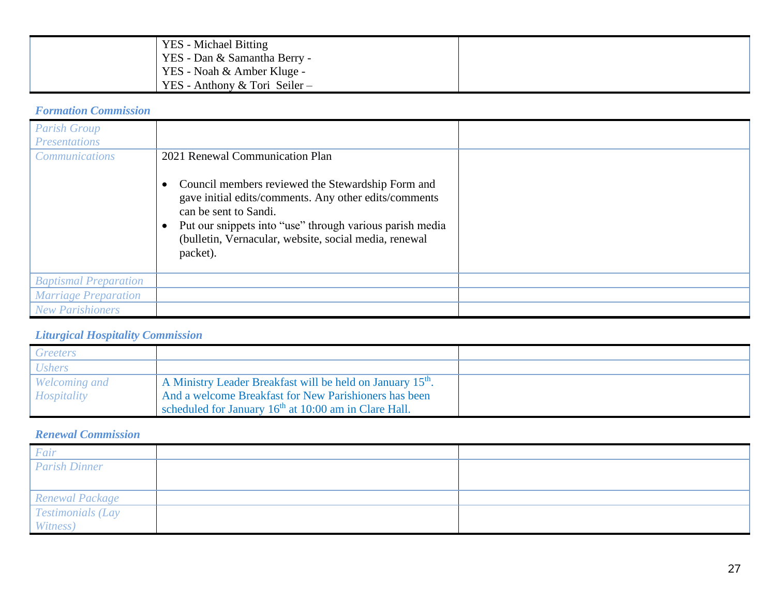| YES - Michael Bitting           |  |
|---------------------------------|--|
| YES - Dan & Samantha Berry -    |  |
| YES - Noah & Amber Kluge -      |  |
| YES - Anthony $&$ Tori Seiler – |  |

### *Formation Commission*

| <b>Parish Group</b><br><b>Presentations</b> |                                                                                                                                                                                                                                                                                                         |  |
|---------------------------------------------|---------------------------------------------------------------------------------------------------------------------------------------------------------------------------------------------------------------------------------------------------------------------------------------------------------|--|
| <b>Communications</b>                       | 2021 Renewal Communication Plan<br>Council members reviewed the Stewardship Form and<br>gave initial edits/comments. Any other edits/comments<br>can be sent to Sandi.<br>Put our snippets into "use" through various parish media<br>(bulletin, Vernacular, website, social media, renewal<br>packet). |  |
| <b>Baptismal Preparation</b>                |                                                                                                                                                                                                                                                                                                         |  |
| <b>Marriage Preparation</b>                 |                                                                                                                                                                                                                                                                                                         |  |
| <b>New Parishioners</b>                     |                                                                                                                                                                                                                                                                                                         |  |

### *Liturgical Hospitality Commission*

| Greeters             |                                                                        |  |
|----------------------|------------------------------------------------------------------------|--|
| <b>Ushers</b>        |                                                                        |  |
| <i>Welcoming and</i> | A Ministry Leader Breakfast will be held on January 15 <sup>th</sup> . |  |
| Hospitality          | And a welcome Breakfast for New Parishioners has been                  |  |
|                      | scheduled for January 16 <sup>th</sup> at 10:00 am in Clare Hall.      |  |

#### *Renewal Commission*

| Fair                     |  |
|--------------------------|--|
| <b>Parish Dinner</b>     |  |
|                          |  |
| Renewal Package          |  |
| <b>Testimonials (Lay</b> |  |
| Witness)                 |  |